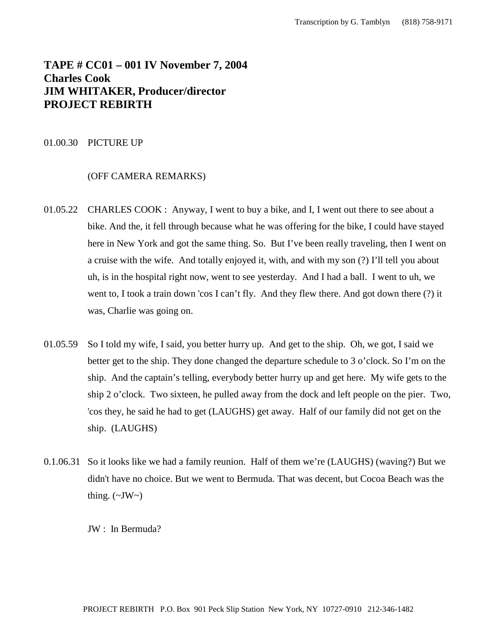# **TAPE # CC01 – 001 IV November 7, 2004 Charles Cook JIM WHITAKER, Producer/director PROJECT REBIRTH**

## 01.00.30 PICTURE UP

# (OFF CAMERA REMARKS)

- 01.05.22 CHARLES COOK : Anyway, I went to buy a bike, and I, I went out there to see about a bike. And the, it fell through because what he was offering for the bike, I could have stayed here in New York and got the same thing. So. But I've been really traveling, then I went on a cruise with the wife. And totally enjoyed it, with, and with my son (?) I'll tell you about uh, is in the hospital right now, went to see yesterday. And I had a ball. I went to uh, we went to, I took a train down 'cos I can't fly. And they flew there. And got down there (?) it was, Charlie was going on.
- 01.05.59 So I told my wife, I said, you better hurry up. And get to the ship. Oh, we got, I said we better get to the ship. They done changed the departure schedule to 3 o'clock. So I'm on the ship. And the captain's telling, everybody better hurry up and get here. My wife gets to the ship 2 o'clock. Two sixteen, he pulled away from the dock and left people on the pier. Two, 'cos they, he said he had to get (LAUGHS) get away. Half of our family did not get on the ship. (LAUGHS)
- 0.1.06.31 So it looks like we had a family reunion. Half of them we're (LAUGHS) (waving?) But we didn't have no choice. But we went to Bermuda. That was decent, but Cocoa Beach was the thing.  $(\sim JW \sim)$

JW : In Bermuda?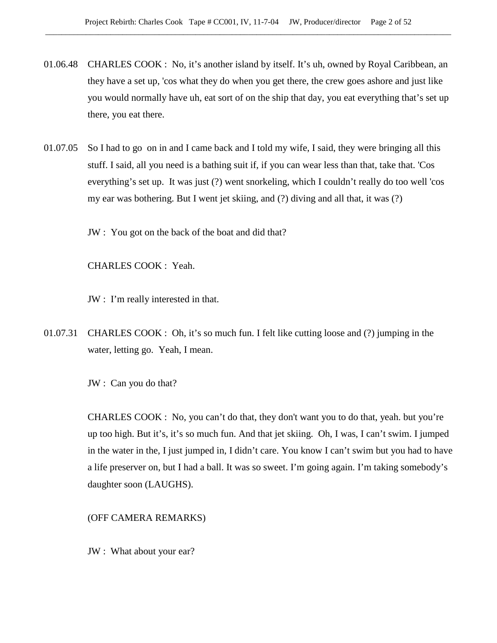- 01.06.48 CHARLES COOK : No, it's another island by itself. It's uh, owned by Royal Caribbean, an they have a set up, 'cos what they do when you get there, the crew goes ashore and just like you would normally have uh, eat sort of on the ship that day, you eat everything that's set up there, you eat there.
- 01.07.05 So I had to go on in and I came back and I told my wife, I said, they were bringing all this stuff. I said, all you need is a bathing suit if, if you can wear less than that, take that. 'Cos everything's set up. It was just (?) went snorkeling, which I couldn't really do too well 'cos my ear was bothering. But I went jet skiing, and (?) diving and all that, it was (?)

JW : You got on the back of the boat and did that?

CHARLES COOK : Yeah.

JW : I'm really interested in that.

01.07.31 CHARLES COOK : Oh, it's so much fun. I felt like cutting loose and (?) jumping in the water, letting go. Yeah, I mean.

JW : Can you do that?

CHARLES COOK : No, you can't do that, they don't want you to do that, yeah. but you're up too high. But it's, it's so much fun. And that jet skiing. Oh, I was, I can't swim. I jumped in the water in the, I just jumped in, I didn't care. You know I can't swim but you had to have a life preserver on, but I had a ball. It was so sweet. I'm going again. I'm taking somebody's daughter soon (LAUGHS).

(OFF CAMERA REMARKS)

JW : What about your ear?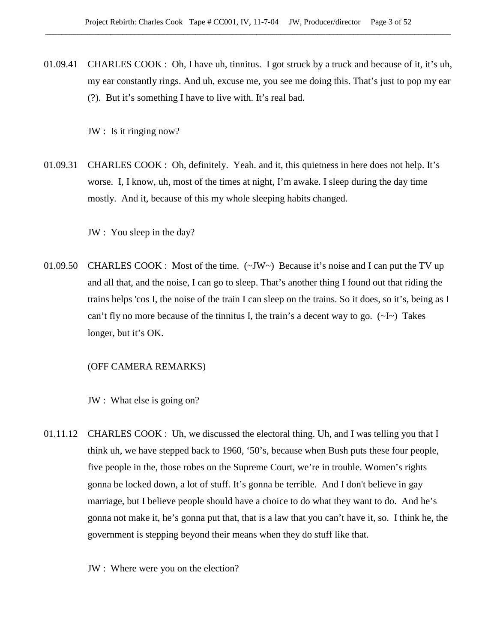01.09.41 CHARLES COOK : Oh, I have uh, tinnitus. I got struck by a truck and because of it, it's uh, my ear constantly rings. And uh, excuse me, you see me doing this. That's just to pop my ear (?). But it's something I have to live with. It's real bad.

JW : Is it ringing now?

01.09.31 CHARLES COOK : Oh, definitely. Yeah. and it, this quietness in here does not help. It's worse. I, I know, uh, most of the times at night, I'm awake. I sleep during the day time mostly. And it, because of this my whole sleeping habits changed.

JW : You sleep in the day?

01.09.50 CHARLES COOK : Most of the time. (~JW~) Because it's noise and I can put the TV up and all that, and the noise, I can go to sleep. That's another thing I found out that riding the trains helps 'cos I, the noise of the train I can sleep on the trains. So it does, so it's, being as I can't fly no more because of the tinnitus I, the train's a decent way to go.  $(\sim I \sim)$  Takes longer, but it's OK.

## (OFF CAMERA REMARKS)

JW : What else is going on?

01.11.12 CHARLES COOK : Uh, we discussed the electoral thing. Uh, and I was telling you that I think uh, we have stepped back to 1960, '50's, because when Bush puts these four people, five people in the, those robes on the Supreme Court, we're in trouble. Women's rights gonna be locked down, a lot of stuff. It's gonna be terrible. And I don't believe in gay marriage, but I believe people should have a choice to do what they want to do. And he's gonna not make it, he's gonna put that, that is a law that you can't have it, so. I think he, the government is stepping beyond their means when they do stuff like that.

JW : Where were you on the election?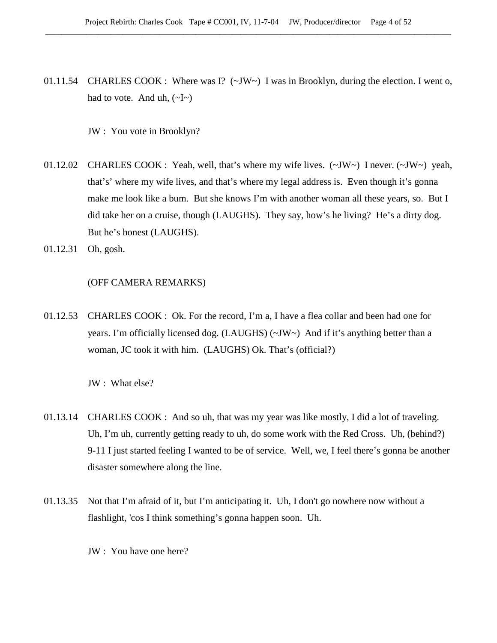01.11.54 CHARLES COOK : Where was I?  $(\sim JW \sim)$  I was in Brooklyn, during the election. I went o, had to vote. And uh,  $(\sim I \sim)$ 

JW : You vote in Brooklyn?

- 01.12.02 CHARLES COOK : Yeah, well, that's where my wife lives. (~JW~) I never. (~JW~) yeah, that's' where my wife lives, and that's where my legal address is. Even though it's gonna make me look like a bum. But she knows I'm with another woman all these years, so. But I did take her on a cruise, though (LAUGHS). They say, how's he living? He's a dirty dog. But he's honest (LAUGHS).
- 01.12.31 Oh, gosh.

# (OFF CAMERA REMARKS)

01.12.53 CHARLES COOK : Ok. For the record, I'm a, I have a flea collar and been had one for years. I'm officially licensed dog. (LAUGHS) (~JW~) And if it's anything better than a woman, JC took it with him. (LAUGHS) Ok. That's (official?)

JW : What else?

- 01.13.14 CHARLES COOK : And so uh, that was my year was like mostly, I did a lot of traveling. Uh, I'm uh, currently getting ready to uh, do some work with the Red Cross. Uh, (behind?) 9-11 I just started feeling I wanted to be of service. Well, we, I feel there's gonna be another disaster somewhere along the line.
- 01.13.35 Not that I'm afraid of it, but I'm anticipating it. Uh, I don't go nowhere now without a flashlight, 'cos I think something's gonna happen soon. Uh.
	- JW : You have one here?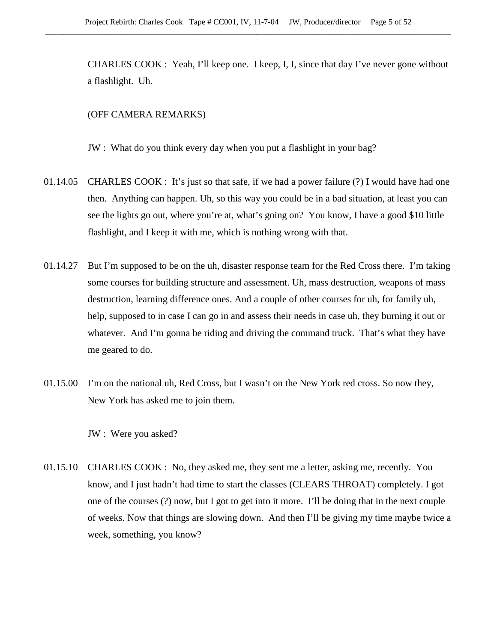CHARLES COOK : Yeah, I'll keep one. I keep, I, I, since that day I've never gone without a flashlight. Uh.

#### (OFF CAMERA REMARKS)

JW : What do you think every day when you put a flashlight in your bag?

- 01.14.05 CHARLES COOK : It's just so that safe, if we had a power failure (?) I would have had one then. Anything can happen. Uh, so this way you could be in a bad situation, at least you can see the lights go out, where you're at, what's going on? You know, I have a good \$10 little flashlight, and I keep it with me, which is nothing wrong with that.
- 01.14.27 But I'm supposed to be on the uh, disaster response team for the Red Cross there. I'm taking some courses for building structure and assessment. Uh, mass destruction, weapons of mass destruction, learning difference ones. And a couple of other courses for uh, for family uh, help, supposed to in case I can go in and assess their needs in case uh, they burning it out or whatever. And I'm gonna be riding and driving the command truck. That's what they have me geared to do.
- 01.15.00 I'm on the national uh, Red Cross, but I wasn't on the New York red cross. So now they, New York has asked me to join them.

JW : Were you asked?

01.15.10 CHARLES COOK : No, they asked me, they sent me a letter, asking me, recently. You know, and I just hadn't had time to start the classes (CLEARS THROAT) completely. I got one of the courses (?) now, but I got to get into it more. I'll be doing that in the next couple of weeks. Now that things are slowing down. And then I'll be giving my time maybe twice a week, something, you know?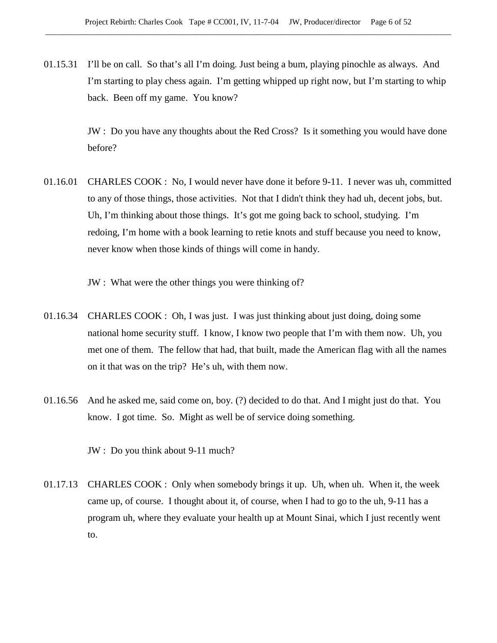01.15.31 I'll be on call. So that's all I'm doing. Just being a bum, playing pinochle as always. And I'm starting to play chess again. I'm getting whipped up right now, but I'm starting to whip back. Been off my game. You know?

> JW : Do you have any thoughts about the Red Cross? Is it something you would have done before?

01.16.01 CHARLES COOK : No, I would never have done it before 9-11. I never was uh, committed to any of those things, those activities. Not that I didn't think they had uh, decent jobs, but. Uh, I'm thinking about those things. It's got me going back to school, studying. I'm redoing, I'm home with a book learning to retie knots and stuff because you need to know, never know when those kinds of things will come in handy.

JW : What were the other things you were thinking of?

- 01.16.34 CHARLES COOK : Oh, I was just. I was just thinking about just doing, doing some national home security stuff. I know, I know two people that I'm with them now. Uh, you met one of them. The fellow that had, that built, made the American flag with all the names on it that was on the trip? He's uh, with them now.
- 01.16.56 And he asked me, said come on, boy. (?) decided to do that. And I might just do that. You know. I got time. So. Might as well be of service doing something.

JW : Do you think about 9-11 much?

01.17.13 CHARLES COOK : Only when somebody brings it up. Uh, when uh. When it, the week came up, of course. I thought about it, of course, when I had to go to the uh, 9-11 has a program uh, where they evaluate your health up at Mount Sinai, which I just recently went to.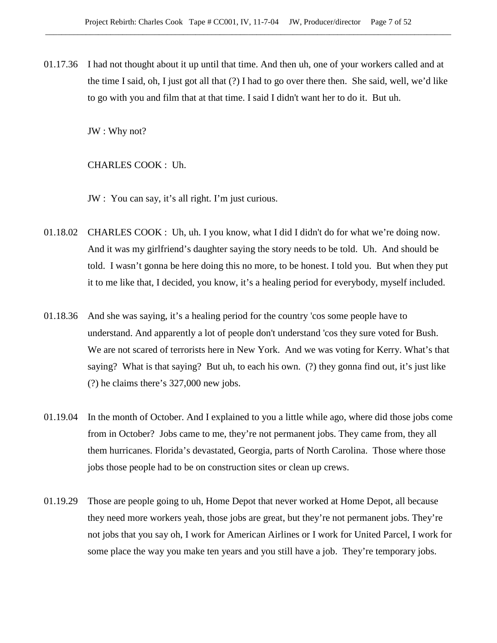01.17.36 I had not thought about it up until that time. And then uh, one of your workers called and at the time I said, oh, I just got all that (?) I had to go over there then. She said, well, we'd like to go with you and film that at that time. I said I didn't want her to do it. But uh.

JW : Why not?

CHARLES COOK : Uh.

- JW : You can say, it's all right. I'm just curious.
- 01.18.02 CHARLES COOK : Uh, uh. I you know, what I did I didn't do for what we're doing now. And it was my girlfriend's daughter saying the story needs to be told. Uh. And should be told. I wasn't gonna be here doing this no more, to be honest. I told you. But when they put it to me like that, I decided, you know, it's a healing period for everybody, myself included.
- 01.18.36 And she was saying, it's a healing period for the country 'cos some people have to understand. And apparently a lot of people don't understand 'cos they sure voted for Bush. We are not scared of terrorists here in New York. And we was voting for Kerry. What's that saying? What is that saying? But uh, to each his own. (?) they gonna find out, it's just like (?) he claims there's 327,000 new jobs.
- 01.19.04 In the month of October. And I explained to you a little while ago, where did those jobs come from in October? Jobs came to me, they're not permanent jobs. They came from, they all them hurricanes. Florida's devastated, Georgia, parts of North Carolina. Those where those jobs those people had to be on construction sites or clean up crews.
- 01.19.29 Those are people going to uh, Home Depot that never worked at Home Depot, all because they need more workers yeah, those jobs are great, but they're not permanent jobs. They're not jobs that you say oh, I work for American Airlines or I work for United Parcel, I work for some place the way you make ten years and you still have a job. They're temporary jobs.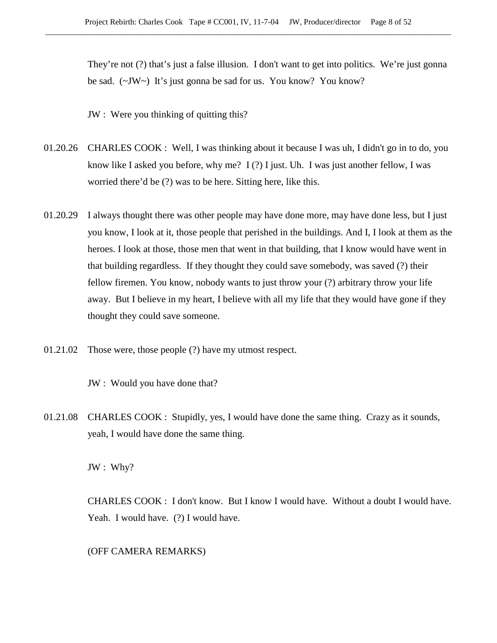They're not (?) that's just a false illusion. I don't want to get into politics. We're just gonna be sad. (~JW~) It's just gonna be sad for us. You know? You know?

JW : Were you thinking of quitting this?

- 01.20.26 CHARLES COOK : Well, I was thinking about it because I was uh, I didn't go in to do, you know like I asked you before, why me? I (?) I just. Uh. I was just another fellow, I was worried there'd be (?) was to be here. Sitting here, like this.
- 01.20.29 I always thought there was other people may have done more, may have done less, but I just you know, I look at it, those people that perished in the buildings. And I, I look at them as the heroes. I look at those, those men that went in that building, that I know would have went in that building regardless. If they thought they could save somebody, was saved (?) their fellow firemen. You know, nobody wants to just throw your (?) arbitrary throw your life away. But I believe in my heart, I believe with all my life that they would have gone if they thought they could save someone.
- 01.21.02 Those were, those people (?) have my utmost respect.

JW : Would you have done that?

01.21.08 CHARLES COOK : Stupidly, yes, I would have done the same thing. Crazy as it sounds, yeah, I would have done the same thing.

JW : Why?

CHARLES COOK : I don't know. But I know I would have. Without a doubt I would have. Yeah. I would have. (?) I would have.

(OFF CAMERA REMARKS)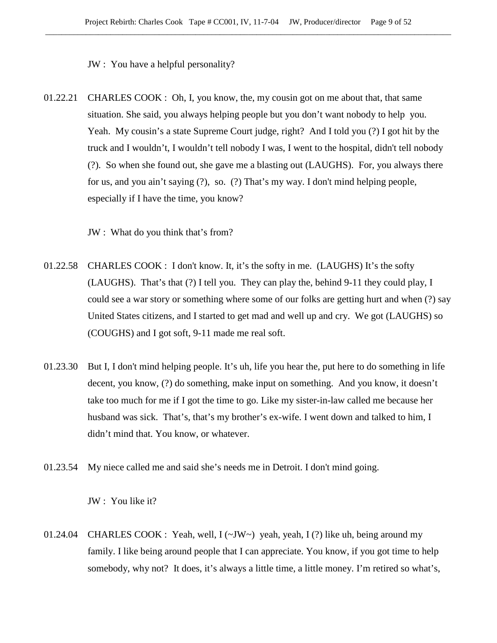JW : You have a helpful personality?

01.22.21 CHARLES COOK : Oh, I, you know, the, my cousin got on me about that, that same situation. She said, you always helping people but you don't want nobody to help you. Yeah. My cousin's a state Supreme Court judge, right? And I told you (?) I got hit by the truck and I wouldn't, I wouldn't tell nobody I was, I went to the hospital, didn't tell nobody (?). So when she found out, she gave me a blasting out (LAUGHS). For, you always there for us, and you ain't saying (?), so. (?) That's my way. I don't mind helping people, especially if I have the time, you know?

JW : What do you think that's from?

- 01.22.58 CHARLES COOK : I don't know. It, it's the softy in me. (LAUGHS) It's the softy (LAUGHS). That's that (?) I tell you. They can play the, behind 9-11 they could play, I could see a war story or something where some of our folks are getting hurt and when (?) say United States citizens, and I started to get mad and well up and cry. We got (LAUGHS) so (COUGHS) and I got soft, 9-11 made me real soft.
- 01.23.30 But I, I don't mind helping people. It's uh, life you hear the, put here to do something in life decent, you know, (?) do something, make input on something. And you know, it doesn't take too much for me if I got the time to go. Like my sister-in-law called me because her husband was sick. That's, that's my brother's ex-wife. I went down and talked to him, I didn't mind that. You know, or whatever.
- 01.23.54 My niece called me and said she's needs me in Detroit. I don't mind going.

JW : You like it?

01.24.04 CHARLES COOK : Yeah, well,  $I(\sim JW \sim)$  yeah, yeah, I (?) like uh, being around my family. I like being around people that I can appreciate. You know, if you got time to help somebody, why not? It does, it's always a little time, a little money. I'm retired so what's,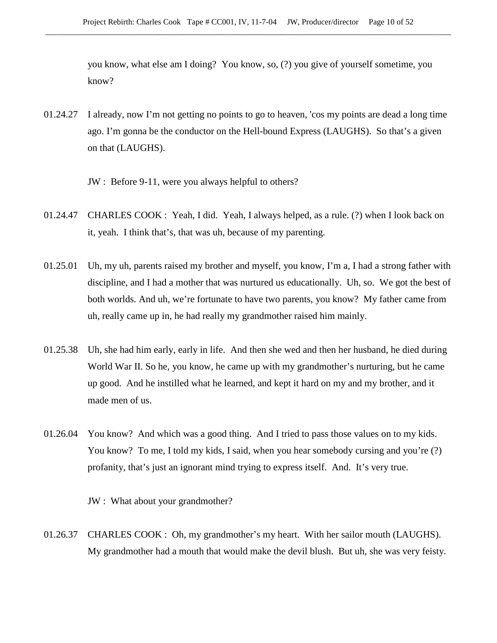you know, what else am I doing? You know, so, (?) you give of yourself sometime, you know?

- 01.24.27 I already, now I'm not getting no points to go to heaven, 'cos my points are dead a long time ago. I'm gonna be the conductor on the Hell-bound Express (LAUGHS). So that's a given on that (LAUGHS).
	- JW : Before 9-11, were you always helpful to others?
- 01.24.47 CHARLES COOK : Yeah, I did. Yeah, I always helped, as a rule. (?) when I look back on it, yeah. I think that's, that was uh, because of my parenting.
- 01.25.01 Uh, my uh, parents raised my brother and myself, you know, I'm a, I had a strong father with discipline, and I had a mother that was nurtured us educationally. Uh, so. We got the best of both worlds. And uh, we're fortunate to have two parents, you know? My father came from uh, really came up in, he had really my grandmother raised him mainly.
- 01.25.38 Uh, she had him early, early in life. And then she wed and then her husband, he died during World War II. So he, you know, he came up with my grandmother's nurturing, but he came up good. And he instilled what he learned, and kept it hard on my and my brother, and it made men of us.
- 01.26.04 You know? And which was a good thing. And I tried to pass those values on to my kids. You know? To me, I told my kids, I said, when you hear somebody cursing and you're (?) profanity, that's just an ignorant mind trying to express itself. And. It's very true.

JW : What about your grandmother?

01.26.37 CHARLES COOK : Oh, my grandmother's my heart. With her sailor mouth (LAUGHS). My grandmother had a mouth that would make the devil blush. But uh, she was very feisty.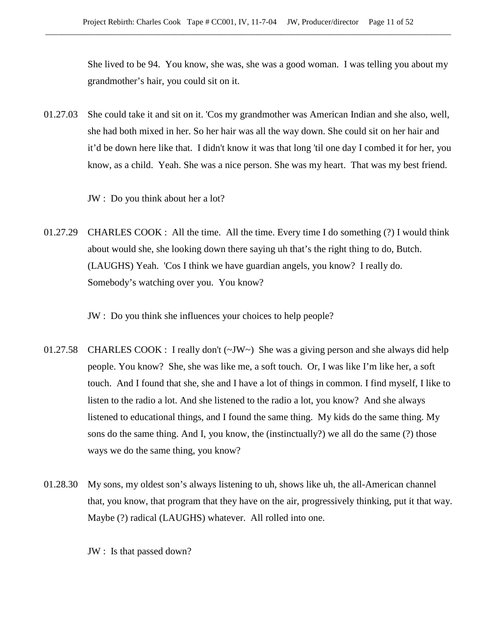She lived to be 94. You know, she was, she was a good woman. I was telling you about my grandmother's hair, you could sit on it.

01.27.03 She could take it and sit on it. 'Cos my grandmother was American Indian and she also, well, she had both mixed in her. So her hair was all the way down. She could sit on her hair and it'd be down here like that. I didn't know it was that long 'til one day I combed it for her, you know, as a child. Yeah. She was a nice person. She was my heart. That was my best friend.

JW : Do you think about her a lot?

01.27.29 CHARLES COOK : All the time. All the time. Every time I do something (?) I would think about would she, she looking down there saying uh that's the right thing to do, Butch. (LAUGHS) Yeah. 'Cos I think we have guardian angels, you know? I really do. Somebody's watching over you. You know?

JW : Do you think she influences your choices to help people?

- 01.27.58 CHARLES COOK : I really don't  $(\sim JW)$  She was a giving person and she always did help people. You know? She, she was like me, a soft touch. Or, I was like I'm like her, a soft touch. And I found that she, she and I have a lot of things in common. I find myself, I like to listen to the radio a lot. And she listened to the radio a lot, you know? And she always listened to educational things, and I found the same thing. My kids do the same thing. My sons do the same thing. And I, you know, the (instinctually?) we all do the same (?) those ways we do the same thing, you know?
- 01.28.30 My sons, my oldest son's always listening to uh, shows like uh, the all-American channel that, you know, that program that they have on the air, progressively thinking, put it that way. Maybe (?) radical (LAUGHS) whatever. All rolled into one.

JW : Is that passed down?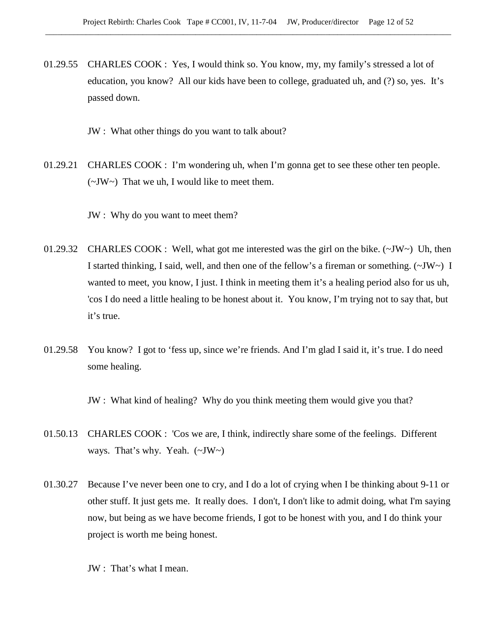01.29.55 CHARLES COOK : Yes, I would think so. You know, my, my family's stressed a lot of education, you know? All our kids have been to college, graduated uh, and (?) so, yes. It's passed down.

JW : What other things do you want to talk about?

01.29.21 CHARLES COOK : I'm wondering uh, when I'm gonna get to see these other ten people.  $(\sim JW \sim)$  That we uh, I would like to meet them.

JW : Why do you want to meet them?

- 01.29.32 CHARLES COOK : Well, what got me interested was the girl on the bike.  $(\sim JW \sim)$  Uh, then I started thinking, I said, well, and then one of the fellow's a fireman or something.  $(\sim JW \sim)$  I wanted to meet, you know, I just. I think in meeting them it's a healing period also for us uh, 'cos I do need a little healing to be honest about it. You know, I'm trying not to say that, but it's true.
- 01.29.58 You know? I got to 'fess up, since we're friends. And I'm glad I said it, it's true. I do need some healing.

JW : What kind of healing? Why do you think meeting them would give you that?

- 01.50.13 CHARLES COOK : 'Cos we are, I think, indirectly share some of the feelings. Different ways. That's why. Yeah. (~JW~)
- 01.30.27 Because I've never been one to cry, and I do a lot of crying when I be thinking about 9-11 or other stuff. It just gets me. It really does. I don't, I don't like to admit doing, what I'm saying now, but being as we have become friends, I got to be honest with you, and I do think your project is worth me being honest.

JW : That's what I mean.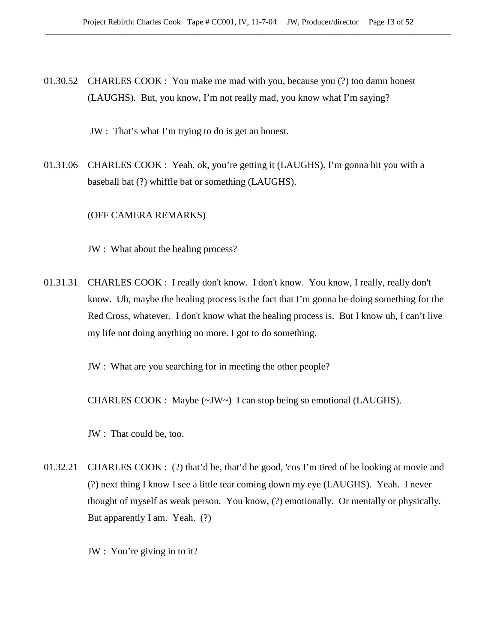01.30.52 CHARLES COOK : You make me mad with you, because you (?) too damn honest (LAUGHS). But, you know, I'm not really mad, you know what I'm saying?

JW : That's what I'm trying to do is get an honest.

01.31.06 CHARLES COOK : Yeah, ok, you're getting it (LAUGHS). I'm gonna hit you with a baseball bat (?) whiffle bat or something (LAUGHS).

(OFF CAMERA REMARKS)

JW : What about the healing process?

01.31.31 CHARLES COOK : I really don't know. I don't know. You know, I really, really don't know. Uh, maybe the healing process is the fact that I'm gonna be doing something for the Red Cross, whatever. I don't know what the healing process is. But I know uh, I can't live my life not doing anything no more. I got to do something.

JW : What are you searching for in meeting the other people?

CHARLES COOK : Maybe  $(\sim JW \sim)$  I can stop being so emotional (LAUGHS).

JW : That could be, too.

01.32.21 CHARLES COOK : (?) that'd be, that'd be good, 'cos I'm tired of be looking at movie and (?) next thing I know I see a little tear coming down my eye (LAUGHS). Yeah. I never thought of myself as weak person. You know, (?) emotionally. Or mentally or physically. But apparently I am. Yeah. (?)

JW : You're giving in to it?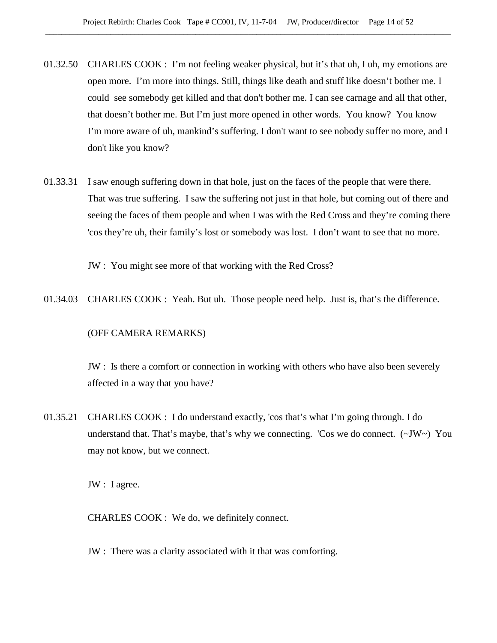- 01.32.50 CHARLES COOK : I'm not feeling weaker physical, but it's that uh, I uh, my emotions are open more. I'm more into things. Still, things like death and stuff like doesn't bother me. I could see somebody get killed and that don't bother me. I can see carnage and all that other, that doesn't bother me. But I'm just more opened in other words. You know? You know I'm more aware of uh, mankind's suffering. I don't want to see nobody suffer no more, and I don't like you know?
- 01.33.31 I saw enough suffering down in that hole, just on the faces of the people that were there. That was true suffering. I saw the suffering not just in that hole, but coming out of there and seeing the faces of them people and when I was with the Red Cross and they're coming there 'cos they're uh, their family's lost or somebody was lost. I don't want to see that no more.

JW : You might see more of that working with the Red Cross?

01.34.03 CHARLES COOK : Yeah. But uh. Those people need help. Just is, that's the difference.

# (OFF CAMERA REMARKS)

JW : Is there a comfort or connection in working with others who have also been severely affected in a way that you have?

01.35.21 CHARLES COOK : I do understand exactly, 'cos that's what I'm going through. I do understand that. That's maybe, that's why we connecting. 'Cos we do connect.  $(\sim JW \sim)$  You may not know, but we connect.

JW : I agree.

CHARLES COOK : We do, we definitely connect.

JW : There was a clarity associated with it that was comforting.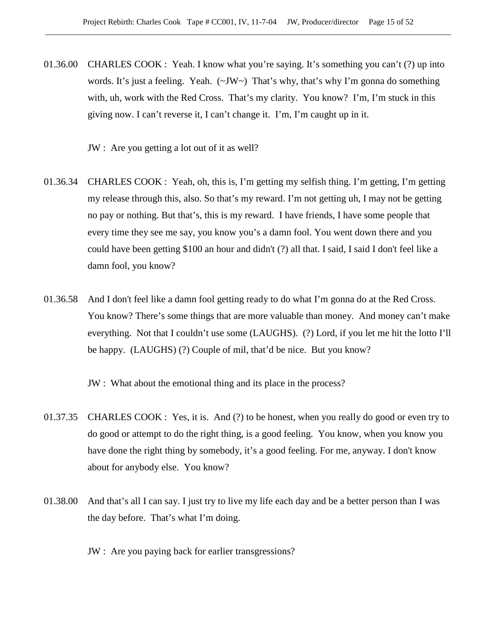01.36.00 CHARLES COOK : Yeah. I know what you're saying. It's something you can't (?) up into words. It's just a feeling. Yeah.  $(\sim JW \sim)$  That's why, that's why I'm gonna do something with, uh, work with the Red Cross. That's my clarity. You know? I'm, I'm stuck in this giving now. I can't reverse it, I can't change it. I'm, I'm caught up in it.

JW : Are you getting a lot out of it as well?

- 01.36.34 CHARLES COOK : Yeah, oh, this is, I'm getting my selfish thing. I'm getting, I'm getting my release through this, also. So that's my reward. I'm not getting uh, I may not be getting no pay or nothing. But that's, this is my reward. I have friends, I have some people that every time they see me say, you know you's a damn fool. You went down there and you could have been getting \$100 an hour and didn't (?) all that. I said, I said I don't feel like a damn fool, you know?
- 01.36.58 And I don't feel like a damn fool getting ready to do what I'm gonna do at the Red Cross. You know? There's some things that are more valuable than money. And money can't make everything. Not that I couldn't use some (LAUGHS). (?) Lord, if you let me hit the lotto I'll be happy. (LAUGHS) (?) Couple of mil, that'd be nice. But you know?

JW : What about the emotional thing and its place in the process?

- 01.37.35 CHARLES COOK : Yes, it is. And (?) to be honest, when you really do good or even try to do good or attempt to do the right thing, is a good feeling. You know, when you know you have done the right thing by somebody, it's a good feeling. For me, anyway. I don't know about for anybody else. You know?
- 01.38.00 And that's all I can say. I just try to live my life each day and be a better person than I was the day before. That's what I'm doing.
	- JW : Are you paying back for earlier transgressions?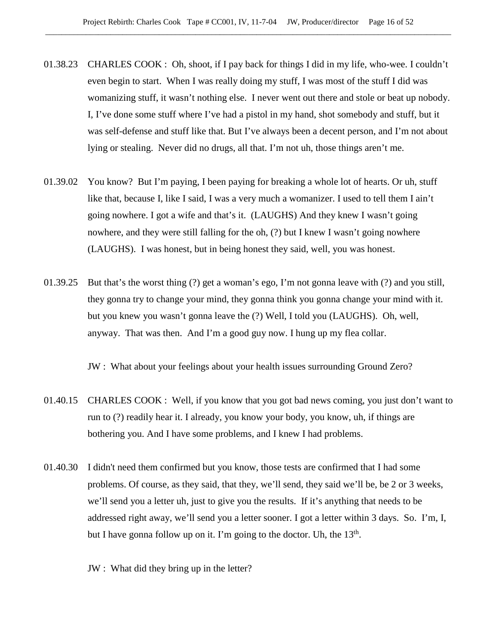- 01.38.23 CHARLES COOK : Oh, shoot, if I pay back for things I did in my life, who-wee. I couldn't even begin to start. When I was really doing my stuff, I was most of the stuff I did was womanizing stuff, it wasn't nothing else. I never went out there and stole or beat up nobody. I, I've done some stuff where I've had a pistol in my hand, shot somebody and stuff, but it was self-defense and stuff like that. But I've always been a decent person, and I'm not about lying or stealing. Never did no drugs, all that. I'm not uh, those things aren't me.
- 01.39.02 You know? But I'm paying, I been paying for breaking a whole lot of hearts. Or uh, stuff like that, because I, like I said, I was a very much a womanizer. I used to tell them I ain't going nowhere. I got a wife and that's it. (LAUGHS) And they knew I wasn't going nowhere, and they were still falling for the oh, (?) but I knew I wasn't going nowhere (LAUGHS). I was honest, but in being honest they said, well, you was honest.
- 01.39.25 But that's the worst thing (?) get a woman's ego, I'm not gonna leave with (?) and you still, they gonna try to change your mind, they gonna think you gonna change your mind with it. but you knew you wasn't gonna leave the (?) Well, I told you (LAUGHS). Oh, well, anyway. That was then. And I'm a good guy now. I hung up my flea collar.

JW : What about your feelings about your health issues surrounding Ground Zero?

- 01.40.15 CHARLES COOK : Well, if you know that you got bad news coming, you just don't want to run to (?) readily hear it. I already, you know your body, you know, uh, if things are bothering you. And I have some problems, and I knew I had problems.
- 01.40.30 I didn't need them confirmed but you know, those tests are confirmed that I had some problems. Of course, as they said, that they, we'll send, they said we'll be, be 2 or 3 weeks, we'll send you a letter uh, just to give you the results. If it's anything that needs to be addressed right away, we'll send you a letter sooner. I got a letter within 3 days. So. I'm, I, but I have gonna follow up on it. I'm going to the doctor. Uh, the  $13<sup>th</sup>$ .

JW : What did they bring up in the letter?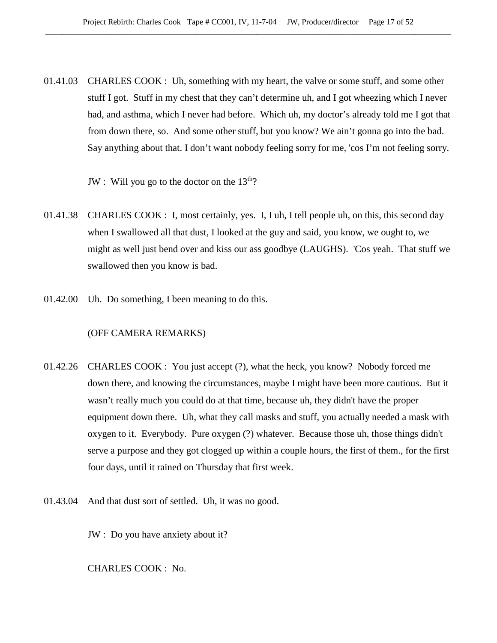01.41.03 CHARLES COOK : Uh, something with my heart, the valve or some stuff, and some other stuff I got. Stuff in my chest that they can't determine uh, and I got wheezing which I never had, and asthma, which I never had before. Which uh, my doctor's already told me I got that from down there, so. And some other stuff, but you know? We ain't gonna go into the bad. Say anything about that. I don't want nobody feeling sorry for me, 'cos I'm not feeling sorry.

JW : Will you go to the doctor on the  $13<sup>th</sup>$ ?

- 01.41.38 CHARLES COOK : I, most certainly, yes. I, I uh, I tell people uh, on this, this second day when I swallowed all that dust, I looked at the guy and said, you know, we ought to, we might as well just bend over and kiss our ass goodbye (LAUGHS). 'Cos yeah. That stuff we swallowed then you know is bad.
- 01.42.00 Uh. Do something, I been meaning to do this.

#### (OFF CAMERA REMARKS)

- 01.42.26 CHARLES COOK : You just accept (?), what the heck, you know? Nobody forced me down there, and knowing the circumstances, maybe I might have been more cautious. But it wasn't really much you could do at that time, because uh, they didn't have the proper equipment down there. Uh, what they call masks and stuff, you actually needed a mask with oxygen to it. Everybody. Pure oxygen (?) whatever. Because those uh, those things didn't serve a purpose and they got clogged up within a couple hours, the first of them., for the first four days, until it rained on Thursday that first week.
- 01.43.04 And that dust sort of settled. Uh, it was no good.

JW : Do you have anxiety about it?

CHARLES COOK : No.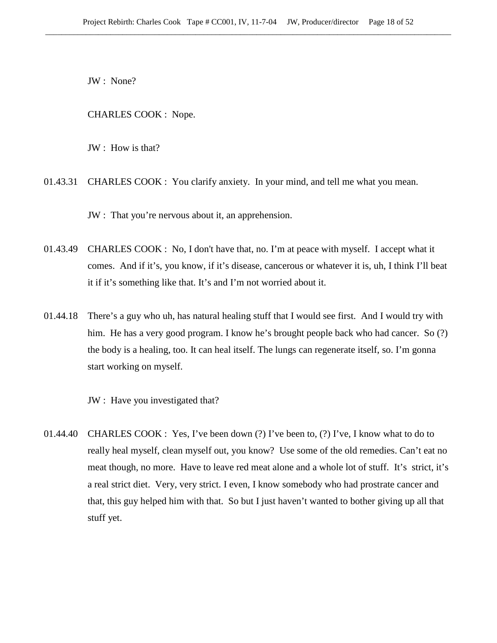JW : None?

CHARLES COOK : Nope.

JW : How is that?

01.43.31 CHARLES COOK : You clarify anxiety. In your mind, and tell me what you mean.

JW : That you're nervous about it, an apprehension.

- 01.43.49 CHARLES COOK : No, I don't have that, no. I'm at peace with myself. I accept what it comes. And if it's, you know, if it's disease, cancerous or whatever it is, uh, I think I'll beat it if it's something like that. It's and I'm not worried about it.
- 01.44.18 There's a guy who uh, has natural healing stuff that I would see first. And I would try with him. He has a very good program. I know he's brought people back who had cancer. So (?) the body is a healing, too. It can heal itself. The lungs can regenerate itself, so. I'm gonna start working on myself.

JW : Have you investigated that?

01.44.40 CHARLES COOK : Yes, I've been down (?) I've been to, (?) I've, I know what to do to really heal myself, clean myself out, you know? Use some of the old remedies. Can't eat no meat though, no more. Have to leave red meat alone and a whole lot of stuff. It's strict, it's a real strict diet. Very, very strict. I even, I know somebody who had prostrate cancer and that, this guy helped him with that. So but I just haven't wanted to bother giving up all that stuff yet.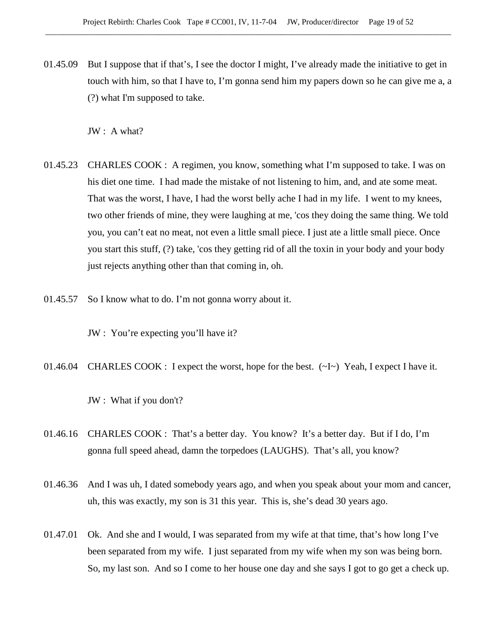01.45.09 But I suppose that if that's, I see the doctor I might, I've already made the initiative to get in touch with him, so that I have to, I'm gonna send him my papers down so he can give me a, a (?) what I'm supposed to take.

JW : A what?

- 01.45.23 CHARLES COOK : A regimen, you know, something what I'm supposed to take. I was on his diet one time. I had made the mistake of not listening to him, and, and ate some meat. That was the worst, I have, I had the worst belly ache I had in my life. I went to my knees, two other friends of mine, they were laughing at me, 'cos they doing the same thing. We told you, you can't eat no meat, not even a little small piece. I just ate a little small piece. Once you start this stuff, (?) take, 'cos they getting rid of all the toxin in your body and your body just rejects anything other than that coming in, oh.
- 01.45.57 So I know what to do. I'm not gonna worry about it.

JW : You're expecting you'll have it?

01.46.04 CHARLES COOK : I expect the worst, hope for the best.  $(\sim I \sim)$  Yeah, I expect I have it.

JW : What if you don't?

- 01.46.16 CHARLES COOK : That's a better day. You know? It's a better day. But if I do, I'm gonna full speed ahead, damn the torpedoes (LAUGHS). That's all, you know?
- 01.46.36 And I was uh, I dated somebody years ago, and when you speak about your mom and cancer, uh, this was exactly, my son is 31 this year. This is, she's dead 30 years ago.
- 01.47.01 Ok. And she and I would, I was separated from my wife at that time, that's how long I've been separated from my wife. I just separated from my wife when my son was being born. So, my last son. And so I come to her house one day and she says I got to go get a check up.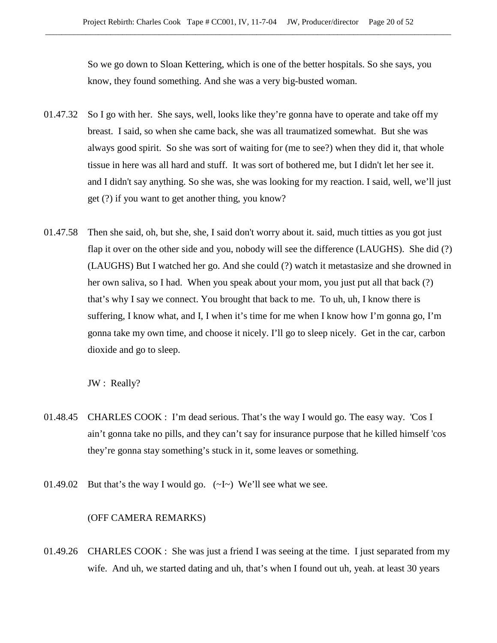So we go down to Sloan Kettering, which is one of the better hospitals. So she says, you know, they found something. And she was a very big-busted woman.

- 01.47.32 So I go with her. She says, well, looks like they're gonna have to operate and take off my breast. I said, so when she came back, she was all traumatized somewhat. But she was always good spirit. So she was sort of waiting for (me to see?) when they did it, that whole tissue in here was all hard and stuff. It was sort of bothered me, but I didn't let her see it. and I didn't say anything. So she was, she was looking for my reaction. I said, well, we'll just get (?) if you want to get another thing, you know?
- 01.47.58 Then she said, oh, but she, she, I said don't worry about it. said, much titties as you got just flap it over on the other side and you, nobody will see the difference (LAUGHS). She did (?) (LAUGHS) But I watched her go. And she could (?) watch it metastasize and she drowned in her own saliva, so I had. When you speak about your mom, you just put all that back (?) that's why I say we connect. You brought that back to me. To uh, uh, I know there is suffering, I know what, and I, I when it's time for me when I know how I'm gonna go, I'm gonna take my own time, and choose it nicely. I'll go to sleep nicely. Get in the car, carbon dioxide and go to sleep.

JW : Really?

- 01.48.45 CHARLES COOK : I'm dead serious. That's the way I would go. The easy way. 'Cos I ain't gonna take no pills, and they can't say for insurance purpose that he killed himself 'cos they're gonna stay something's stuck in it, some leaves or something.
- 01.49.02 But that's the way I would go.  $(-I)$  We'll see what we see.

#### (OFF CAMERA REMARKS)

01.49.26 CHARLES COOK : She was just a friend I was seeing at the time. I just separated from my wife. And uh, we started dating and uh, that's when I found out uh, yeah. at least 30 years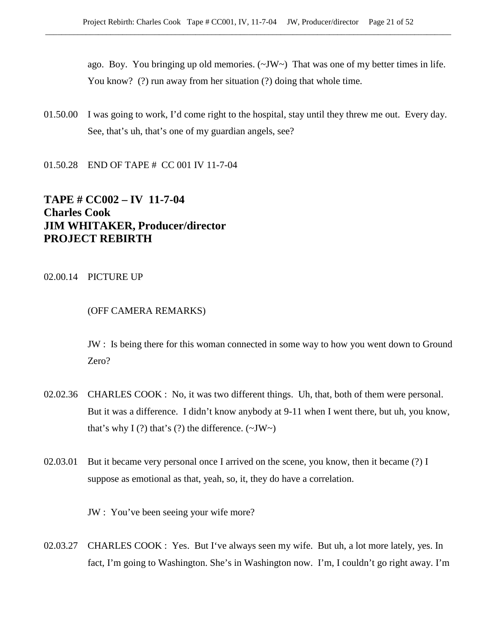ago. Boy. You bringing up old memories.  $(\sim JW)$  That was one of my better times in life. You know? (?) run away from her situation (?) doing that whole time.

- 01.50.00 I was going to work, I'd come right to the hospital, stay until they threw me out. Every day. See, that's uh, that's one of my guardian angels, see?
- 01.50.28 END OF TAPE # CC 001 IV 11-7-04

# **TAPE # CC002 – IV 11-7-04 Charles Cook JIM WHITAKER, Producer/director PROJECT REBIRTH**

# 02.00.14 PICTURE UP

# (OFF CAMERA REMARKS)

JW : Is being there for this woman connected in some way to how you went down to Ground Zero?

- 02.02.36 CHARLES COOK : No, it was two different things. Uh, that, both of them were personal. But it was a difference. I didn't know anybody at 9-11 when I went there, but uh, you know, that's why I (?) that's (?) the difference.  $(\sim JW \sim)$
- 02.03.01 But it became very personal once I arrived on the scene, you know, then it became (?) I suppose as emotional as that, yeah, so, it, they do have a correlation.

JW : You've been seeing your wife more?

02.03.27 CHARLES COOK : Yes. But I've always seen my wife. But uh, a lot more lately, yes. In fact, I'm going to Washington. She's in Washington now. I'm, I couldn't go right away. I'm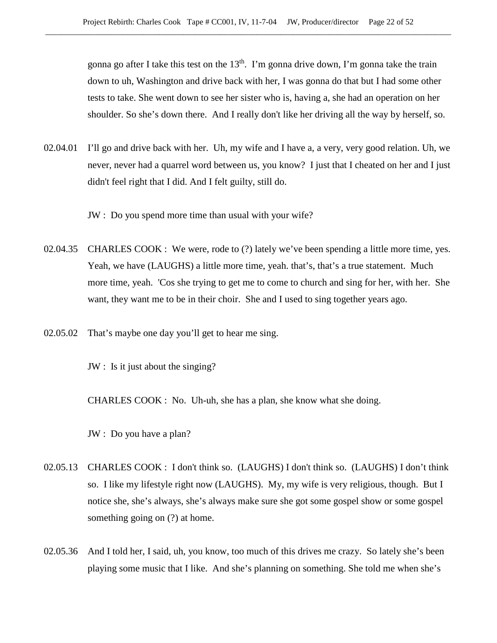gonna go after I take this test on the  $13<sup>th</sup>$ . I'm gonna drive down, I'm gonna take the train down to uh, Washington and drive back with her, I was gonna do that but I had some other tests to take. She went down to see her sister who is, having a, she had an operation on her shoulder. So she's down there. And I really don't like her driving all the way by herself, so.

02.04.01 I'll go and drive back with her. Uh, my wife and I have a, a very, very good relation. Uh, we never, never had a quarrel word between us, you know? I just that I cheated on her and I just didn't feel right that I did. And I felt guilty, still do.

JW : Do you spend more time than usual with your wife?

- 02.04.35 CHARLES COOK : We were, rode to (?) lately we've been spending a little more time, yes. Yeah, we have (LAUGHS) a little more time, yeah. that's, that's a true statement. Much more time, yeah. 'Cos she trying to get me to come to church and sing for her, with her. She want, they want me to be in their choir. She and I used to sing together years ago.
- 02.05.02 That's maybe one day you'll get to hear me sing.

JW : Is it just about the singing?

CHARLES COOK : No. Uh-uh, she has a plan, she know what she doing.

JW : Do you have a plan?

- 02.05.13 CHARLES COOK : I don't think so. (LAUGHS) I don't think so. (LAUGHS) I don't think so. I like my lifestyle right now (LAUGHS). My, my wife is very religious, though. But I notice she, she's always, she's always make sure she got some gospel show or some gospel something going on  $(?)$  at home.
- 02.05.36 And I told her, I said, uh, you know, too much of this drives me crazy. So lately she's been playing some music that I like. And she's planning on something. She told me when she's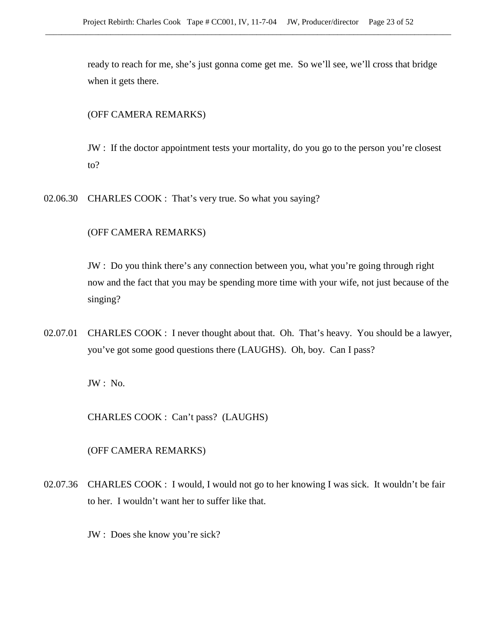ready to reach for me, she's just gonna come get me. So we'll see, we'll cross that bridge when it gets there.

# (OFF CAMERA REMARKS)

JW : If the doctor appointment tests your mortality, do you go to the person you're closest to?

02.06.30 CHARLES COOK : That's very true. So what you saying?

# (OFF CAMERA REMARKS)

JW : Do you think there's any connection between you, what you're going through right now and the fact that you may be spending more time with your wife, not just because of the singing?

02.07.01 CHARLES COOK : I never thought about that. Oh. That's heavy. You should be a lawyer, you've got some good questions there (LAUGHS). Oh, boy. Can I pass?

JW : No.

CHARLES COOK : Can't pass? (LAUGHS)

(OFF CAMERA REMARKS)

- 02.07.36 CHARLES COOK : I would, I would not go to her knowing I was sick. It wouldn't be fair to her. I wouldn't want her to suffer like that.
	- JW : Does she know you're sick?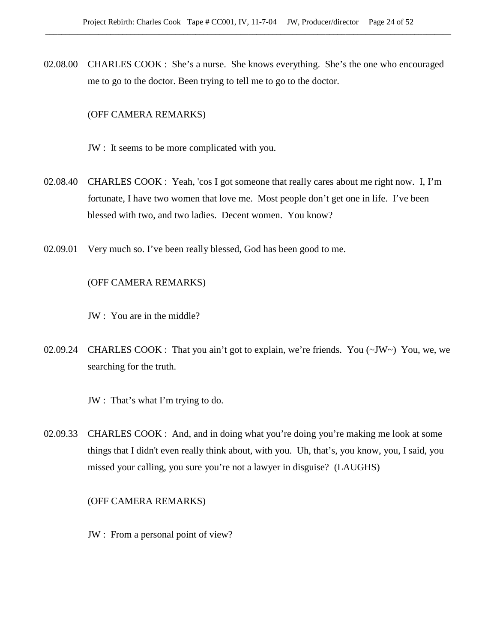02.08.00 CHARLES COOK : She's a nurse. She knows everything. She's the one who encouraged me to go to the doctor. Been trying to tell me to go to the doctor.

## (OFF CAMERA REMARKS)

- JW : It seems to be more complicated with you.
- 02.08.40 CHARLES COOK : Yeah, 'cos I got someone that really cares about me right now. I, I'm fortunate, I have two women that love me. Most people don't get one in life. I've been blessed with two, and two ladies. Decent women. You know?
- 02.09.01 Very much so. I've been really blessed, God has been good to me.

# (OFF CAMERA REMARKS)

JW : You are in the middle?

- 02.09.24 CHARLES COOK : That you ain't got to explain, we're friends. You (~JW~) You, we, we searching for the truth.
	- JW : That's what I'm trying to do.
- 02.09.33 CHARLES COOK : And, and in doing what you're doing you're making me look at some things that I didn't even really think about, with you. Uh, that's, you know, you, I said, you missed your calling, you sure you're not a lawyer in disguise? (LAUGHS)

#### (OFF CAMERA REMARKS)

JW : From a personal point of view?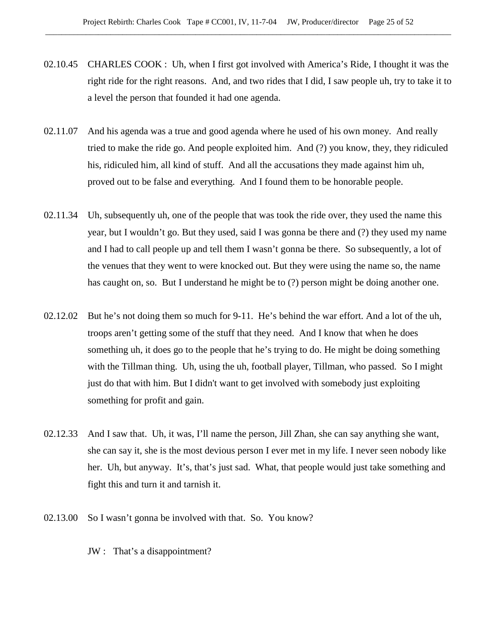- 02.10.45 CHARLES COOK : Uh, when I first got involved with America's Ride, I thought it was the right ride for the right reasons. And, and two rides that I did, I saw people uh, try to take it to a level the person that founded it had one agenda.
- 02.11.07 And his agenda was a true and good agenda where he used of his own money. And really tried to make the ride go. And people exploited him. And (?) you know, they, they ridiculed his, ridiculed him, all kind of stuff. And all the accusations they made against him uh, proved out to be false and everything. And I found them to be honorable people.
- 02.11.34 Uh, subsequently uh, one of the people that was took the ride over, they used the name this year, but I wouldn't go. But they used, said I was gonna be there and (?) they used my name and I had to call people up and tell them I wasn't gonna be there. So subsequently, a lot of the venues that they went to were knocked out. But they were using the name so, the name has caught on, so. But I understand he might be to (?) person might be doing another one.
- 02.12.02 But he's not doing them so much for 9-11. He's behind the war effort. And a lot of the uh, troops aren't getting some of the stuff that they need. And I know that when he does something uh, it does go to the people that he's trying to do. He might be doing something with the Tillman thing. Uh, using the uh, football player, Tillman, who passed. So I might just do that with him. But I didn't want to get involved with somebody just exploiting something for profit and gain.
- 02.12.33 And I saw that. Uh, it was, I'll name the person, Jill Zhan, she can say anything she want, she can say it, she is the most devious person I ever met in my life. I never seen nobody like her. Uh, but anyway. It's, that's just sad. What, that people would just take something and fight this and turn it and tarnish it.
- 02.13.00 So I wasn't gonna be involved with that. So. You know?
	- JW : That's a disappointment?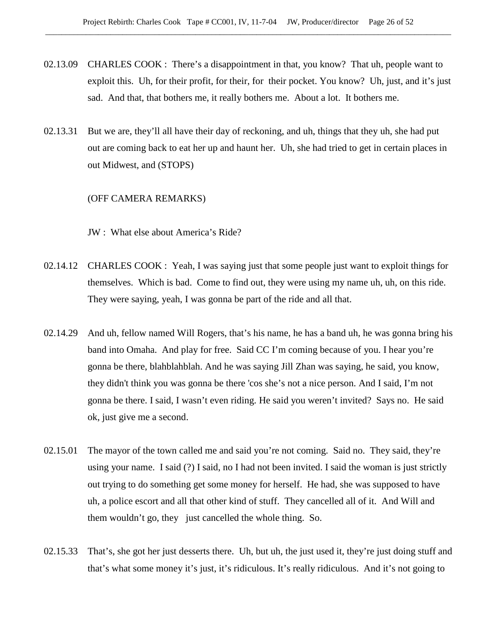- 02.13.09 CHARLES COOK : There's a disappointment in that, you know? That uh, people want to exploit this. Uh, for their profit, for their, for their pocket. You know? Uh, just, and it's just sad. And that, that bothers me, it really bothers me. About a lot. It bothers me.
- 02.13.31 But we are, they'll all have their day of reckoning, and uh, things that they uh, she had put out are coming back to eat her up and haunt her. Uh, she had tried to get in certain places in out Midwest, and (STOPS)

# (OFF CAMERA REMARKS)

JW : What else about America's Ride?

- 02.14.12 CHARLES COOK : Yeah, I was saying just that some people just want to exploit things for themselves. Which is bad. Come to find out, they were using my name uh, uh, on this ride. They were saying, yeah, I was gonna be part of the ride and all that.
- 02.14.29 And uh, fellow named Will Rogers, that's his name, he has a band uh, he was gonna bring his band into Omaha. And play for free. Said CC I'm coming because of you. I hear you're gonna be there, blahblahblah. And he was saying Jill Zhan was saying, he said, you know, they didn't think you was gonna be there 'cos she's not a nice person. And I said, I'm not gonna be there. I said, I wasn't even riding. He said you weren't invited? Says no. He said ok, just give me a second.
- 02.15.01 The mayor of the town called me and said you're not coming. Said no. They said, they're using your name. I said (?) I said, no I had not been invited. I said the woman is just strictly out trying to do something get some money for herself. He had, she was supposed to have uh, a police escort and all that other kind of stuff. They cancelled all of it. And Will and them wouldn't go, they just cancelled the whole thing. So.
- 02.15.33 That's, she got her just desserts there. Uh, but uh, the just used it, they're just doing stuff and that's what some money it's just, it's ridiculous. It's really ridiculous. And it's not going to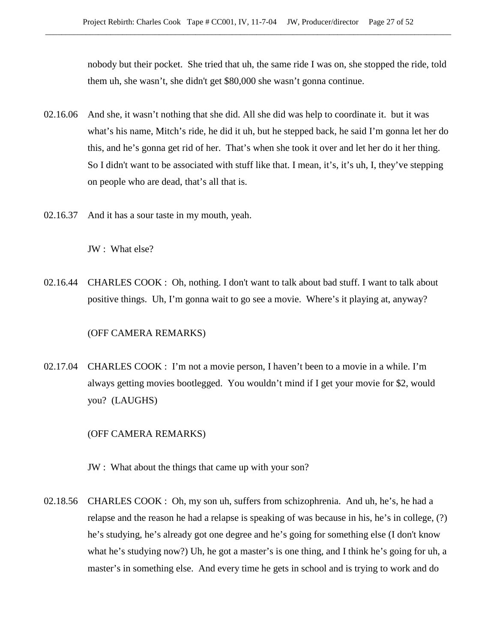nobody but their pocket. She tried that uh, the same ride I was on, she stopped the ride, told them uh, she wasn't, she didn't get \$80,000 she wasn't gonna continue.

- 02.16.06 And she, it wasn't nothing that she did. All she did was help to coordinate it. but it was what's his name, Mitch's ride, he did it uh, but he stepped back, he said I'm gonna let her do this, and he's gonna get rid of her. That's when she took it over and let her do it her thing. So I didn't want to be associated with stuff like that. I mean, it's, it's uh, I, they've stepping on people who are dead, that's all that is.
- 02.16.37 And it has a sour taste in my mouth, yeah.

JW : What else?

02.16.44 CHARLES COOK : Oh, nothing. I don't want to talk about bad stuff. I want to talk about positive things. Uh, I'm gonna wait to go see a movie. Where's it playing at, anyway?

# (OFF CAMERA REMARKS)

02.17.04 CHARLES COOK : I'm not a movie person, I haven't been to a movie in a while. I'm always getting movies bootlegged. You wouldn't mind if I get your movie for \$2, would you? (LAUGHS)

## (OFF CAMERA REMARKS)

- JW : What about the things that came up with your son?
- 02.18.56 CHARLES COOK : Oh, my son uh, suffers from schizophrenia. And uh, he's, he had a relapse and the reason he had a relapse is speaking of was because in his, he's in college, (?) he's studying, he's already got one degree and he's going for something else (I don't know what he's studying now?) Uh, he got a master's is one thing, and I think he's going for uh, a master's in something else. And every time he gets in school and is trying to work and do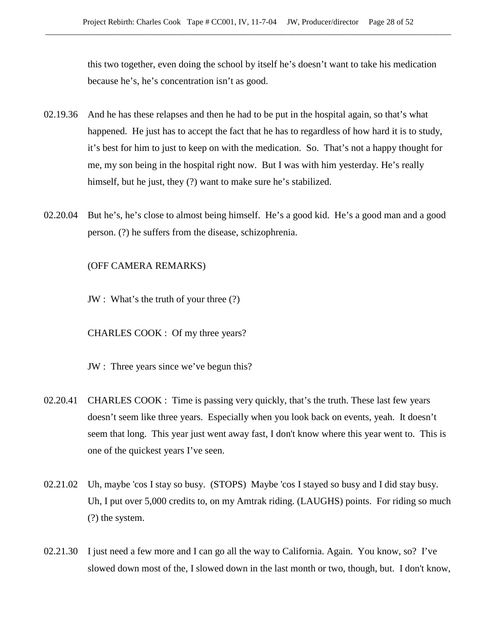this two together, even doing the school by itself he's doesn't want to take his medication because he's, he's concentration isn't as good.

- 02.19.36 And he has these relapses and then he had to be put in the hospital again, so that's what happened. He just has to accept the fact that he has to regardless of how hard it is to study, it's best for him to just to keep on with the medication. So. That's not a happy thought for me, my son being in the hospital right now. But I was with him yesterday. He's really himself, but he just, they (?) want to make sure he's stabilized.
- 02.20.04 But he's, he's close to almost being himself. He's a good kid. He's a good man and a good person. (?) he suffers from the disease, schizophrenia.

(OFF CAMERA REMARKS)

JW : What's the truth of your three (?)

CHARLES COOK : Of my three years?

JW : Three years since we've begun this?

- 02.20.41 CHARLES COOK : Time is passing very quickly, that's the truth. These last few years doesn't seem like three years. Especially when you look back on events, yeah. It doesn't seem that long. This year just went away fast, I don't know where this year went to. This is one of the quickest years I've seen.
- 02.21.02 Uh, maybe 'cos I stay so busy. (STOPS) Maybe 'cos I stayed so busy and I did stay busy. Uh, I put over 5,000 credits to, on my Amtrak riding. (LAUGHS) points. For riding so much (?) the system.
- 02.21.30 I just need a few more and I can go all the way to California. Again. You know, so? I've slowed down most of the, I slowed down in the last month or two, though, but. I don't know,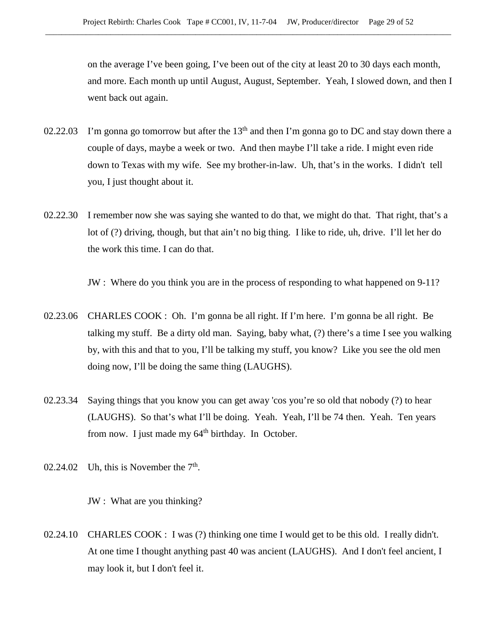on the average I've been going, I've been out of the city at least 20 to 30 days each month, and more. Each month up until August, August, September. Yeah, I slowed down, and then I went back out again.

- 02.22.03 I'm gonna go tomorrow but after the  $13<sup>th</sup>$  and then I'm gonna go to DC and stay down there a couple of days, maybe a week or two. And then maybe I'll take a ride. I might even ride down to Texas with my wife. See my brother-in-law. Uh, that's in the works. I didn't tell you, I just thought about it.
- 02.22.30 I remember now she was saying she wanted to do that, we might do that. That right, that's a lot of (?) driving, though, but that ain't no big thing. I like to ride, uh, drive. I'll let her do the work this time. I can do that.

JW : Where do you think you are in the process of responding to what happened on 9-11?

- 02.23.06 CHARLES COOK : Oh. I'm gonna be all right. If I'm here. I'm gonna be all right. Be talking my stuff. Be a dirty old man. Saying, baby what, (?) there's a time I see you walking by, with this and that to you, I'll be talking my stuff, you know? Like you see the old men doing now, I'll be doing the same thing (LAUGHS).
- 02.23.34 Saying things that you know you can get away 'cos you're so old that nobody (?) to hear (LAUGHS). So that's what I'll be doing. Yeah. Yeah, I'll be 74 then. Yeah. Ten years from now. I just made my  $64<sup>th</sup>$  birthday. In October.
- 02.24.02 Uh, this is November the  $7<sup>th</sup>$ .

JW : What are you thinking?

02.24.10 CHARLES COOK : I was (?) thinking one time I would get to be this old. I really didn't. At one time I thought anything past 40 was ancient (LAUGHS). And I don't feel ancient, I may look it, but I don't feel it.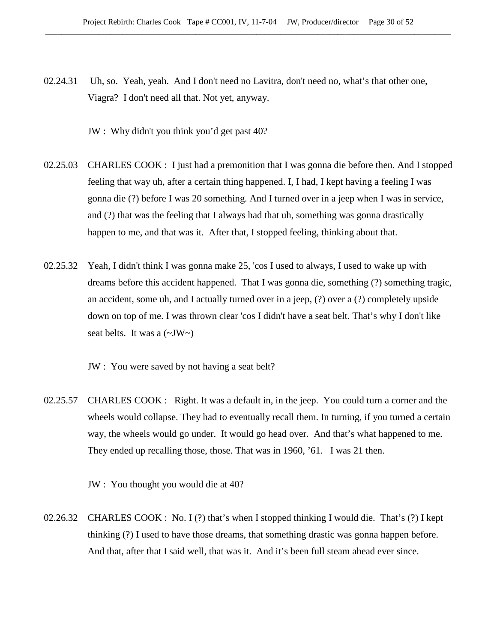02.24.31 Uh, so. Yeah, yeah. And I don't need no Lavitra, don't need no, what's that other one, Viagra? I don't need all that. Not yet, anyway.

JW : Why didn't you think you'd get past 40?

- 02.25.03 CHARLES COOK : I just had a premonition that I was gonna die before then. And I stopped feeling that way uh, after a certain thing happened. I, I had, I kept having a feeling I was gonna die (?) before I was 20 something. And I turned over in a jeep when I was in service, and (?) that was the feeling that I always had that uh, something was gonna drastically happen to me, and that was it. After that, I stopped feeling, thinking about that.
- 02.25.32 Yeah, I didn't think I was gonna make 25, 'cos I used to always, I used to wake up with dreams before this accident happened. That I was gonna die, something (?) something tragic, an accident, some uh, and I actually turned over in a jeep, (?) over a (?) completely upside down on top of me. I was thrown clear 'cos I didn't have a seat belt. That's why I don't like seat belts. It was a  $(\sim JW \sim)$

JW : You were saved by not having a seat belt?

02.25.57 CHARLES COOK : Right. It was a default in, in the jeep. You could turn a corner and the wheels would collapse. They had to eventually recall them. In turning, if you turned a certain way, the wheels would go under. It would go head over. And that's what happened to me. They ended up recalling those, those. That was in 1960, '61. I was 21 then.

JW : You thought you would die at 40?

02.26.32 CHARLES COOK : No. I (?) that's when I stopped thinking I would die. That's (?) I kept thinking (?) I used to have those dreams, that something drastic was gonna happen before. And that, after that I said well, that was it. And it's been full steam ahead ever since.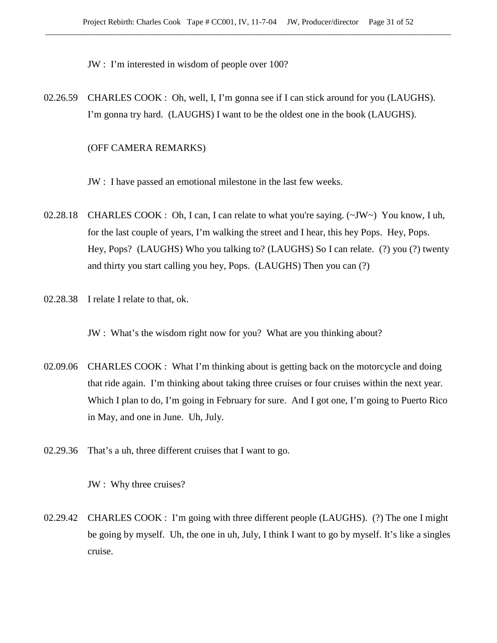JW : I'm interested in wisdom of people over 100?

02.26.59 CHARLES COOK : Oh, well, I, I'm gonna see if I can stick around for you (LAUGHS). I'm gonna try hard. (LAUGHS) I want to be the oldest one in the book (LAUGHS).

## (OFF CAMERA REMARKS)

JW : I have passed an emotional milestone in the last few weeks.

- 02.28.18 CHARLES COOK : Oh, I can, I can relate to what you're saying. (~JW~) You know, I uh, for the last couple of years, I'm walking the street and I hear, this hey Pops. Hey, Pops. Hey, Pops? (LAUGHS) Who you talking to? (LAUGHS) So I can relate. (?) you (?) twenty and thirty you start calling you hey, Pops. (LAUGHS) Then you can (?)
- 02.28.38 I relate I relate to that, ok.

JW : What's the wisdom right now for you? What are you thinking about?

- 02.09.06 CHARLES COOK : What I'm thinking about is getting back on the motorcycle and doing that ride again. I'm thinking about taking three cruises or four cruises within the next year. Which I plan to do, I'm going in February for sure. And I got one, I'm going to Puerto Rico in May, and one in June. Uh, July.
- 02.29.36 That's a uh, three different cruises that I want to go.

JW : Why three cruises?

02.29.42 CHARLES COOK : I'm going with three different people (LAUGHS). (?) The one I might be going by myself. Uh, the one in uh, July, I think I want to go by myself. It's like a singles cruise.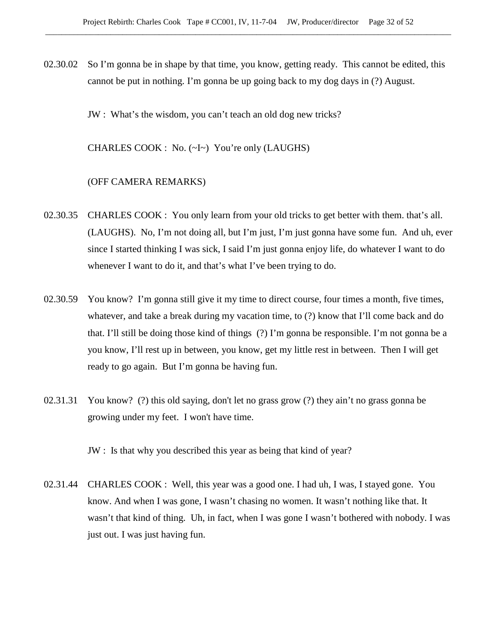02.30.02 So I'm gonna be in shape by that time, you know, getting ready. This cannot be edited, this cannot be put in nothing. I'm gonna be up going back to my dog days in (?) August.

JW : What's the wisdom, you can't teach an old dog new tricks?

CHARLES COOK : No. (~I~) You're only (LAUGHS)

#### (OFF CAMERA REMARKS)

- 02.30.35 CHARLES COOK : You only learn from your old tricks to get better with them. that's all. (LAUGHS). No, I'm not doing all, but I'm just, I'm just gonna have some fun. And uh, ever since I started thinking I was sick, I said I'm just gonna enjoy life, do whatever I want to do whenever I want to do it, and that's what I've been trying to do.
- 02.30.59 You know? I'm gonna still give it my time to direct course, four times a month, five times, whatever, and take a break during my vacation time, to (?) know that I'll come back and do that. I'll still be doing those kind of things (?) I'm gonna be responsible. I'm not gonna be a you know, I'll rest up in between, you know, get my little rest in between. Then I will get ready to go again. But I'm gonna be having fun.
- 02.31.31 You know? (?) this old saying, don't let no grass grow (?) they ain't no grass gonna be growing under my feet. I won't have time.

JW : Is that why you described this year as being that kind of year?

02.31.44 CHARLES COOK : Well, this year was a good one. I had uh, I was, I stayed gone. You know. And when I was gone, I wasn't chasing no women. It wasn't nothing like that. It wasn't that kind of thing. Uh, in fact, when I was gone I wasn't bothered with nobody. I was just out. I was just having fun.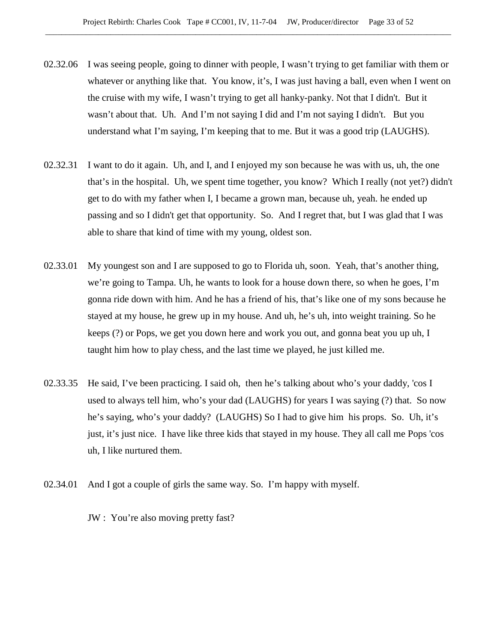- 02.32.06 I was seeing people, going to dinner with people, I wasn't trying to get familiar with them or whatever or anything like that. You know, it's, I was just having a ball, even when I went on the cruise with my wife, I wasn't trying to get all hanky-panky. Not that I didn't. But it wasn't about that. Uh. And I'm not saying I did and I'm not saying I didn't. But you understand what I'm saying, I'm keeping that to me. But it was a good trip (LAUGHS).
- 02.32.31 I want to do it again. Uh, and I, and I enjoyed my son because he was with us, uh, the one that's in the hospital. Uh, we spent time together, you know? Which I really (not yet?) didn't get to do with my father when I, I became a grown man, because uh, yeah. he ended up passing and so I didn't get that opportunity. So. And I regret that, but I was glad that I was able to share that kind of time with my young, oldest son.
- 02.33.01 My youngest son and I are supposed to go to Florida uh, soon. Yeah, that's another thing, we're going to Tampa. Uh, he wants to look for a house down there, so when he goes, I'm gonna ride down with him. And he has a friend of his, that's like one of my sons because he stayed at my house, he grew up in my house. And uh, he's uh, into weight training. So he keeps (?) or Pops, we get you down here and work you out, and gonna beat you up uh, I taught him how to play chess, and the last time we played, he just killed me.
- 02.33.35 He said, I've been practicing. I said oh, then he's talking about who's your daddy, 'cos I used to always tell him, who's your dad (LAUGHS) for years I was saying (?) that. So now he's saying, who's your daddy? (LAUGHS) So I had to give him his props. So. Uh, it's just, it's just nice. I have like three kids that stayed in my house. They all call me Pops 'cos uh, I like nurtured them.
- 02.34.01 And I got a couple of girls the same way. So. I'm happy with myself.
	- JW : You're also moving pretty fast?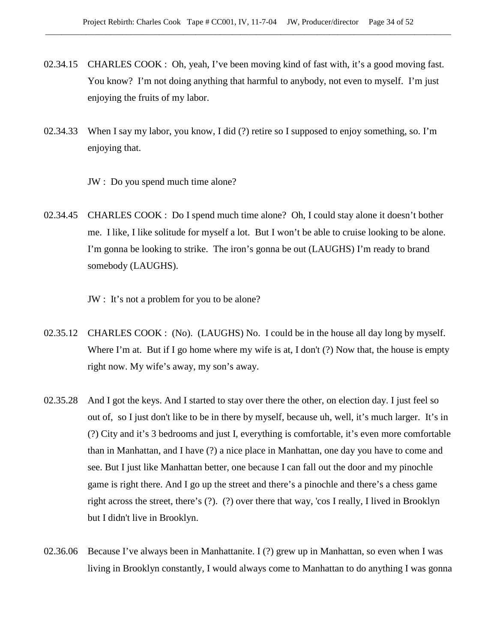- 02.34.15 CHARLES COOK : Oh, yeah, I've been moving kind of fast with, it's a good moving fast. You know? I'm not doing anything that harmful to anybody, not even to myself. I'm just enjoying the fruits of my labor.
- 02.34.33 When I say my labor, you know, I did (?) retire so I supposed to enjoy something, so. I'm enjoying that.
	- JW : Do you spend much time alone?
- 02.34.45 CHARLES COOK : Do I spend much time alone? Oh, I could stay alone it doesn't bother me. I like, I like solitude for myself a lot. But I won't be able to cruise looking to be alone. I'm gonna be looking to strike. The iron's gonna be out (LAUGHS) I'm ready to brand somebody (LAUGHS).

JW : It's not a problem for you to be alone?

- 02.35.12 CHARLES COOK : (No). (LAUGHS) No. I could be in the house all day long by myself. Where I'm at. But if I go home where my wife is at, I don't (?) Now that, the house is empty right now. My wife's away, my son's away.
- 02.35.28 And I got the keys. And I started to stay over there the other, on election day. I just feel so out of, so I just don't like to be in there by myself, because uh, well, it's much larger. It's in (?) City and it's 3 bedrooms and just I, everything is comfortable, it's even more comfortable than in Manhattan, and I have (?) a nice place in Manhattan, one day you have to come and see. But I just like Manhattan better, one because I can fall out the door and my pinochle game is right there. And I go up the street and there's a pinochle and there's a chess game right across the street, there's (?). (?) over there that way, 'cos I really, I lived in Brooklyn but I didn't live in Brooklyn.
- 02.36.06 Because I've always been in Manhattanite. I (?) grew up in Manhattan, so even when I was living in Brooklyn constantly, I would always come to Manhattan to do anything I was gonna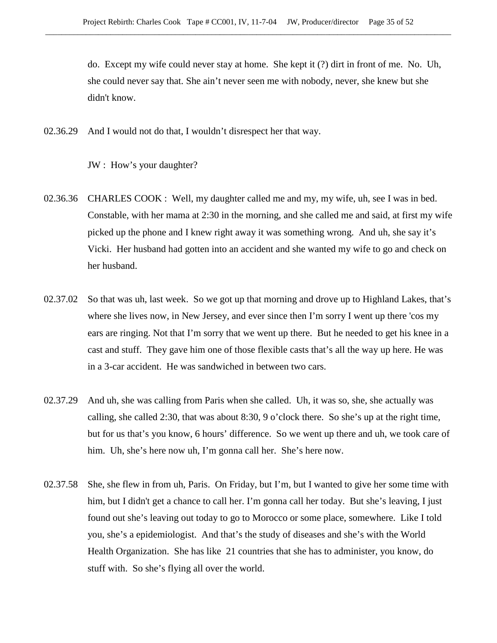do. Except my wife could never stay at home. She kept it (?) dirt in front of me. No. Uh, she could never say that. She ain't never seen me with nobody, never, she knew but she didn't know.

02.36.29 And I would not do that, I wouldn't disrespect her that way.

JW : How's your daughter?

- 02.36.36 CHARLES COOK : Well, my daughter called me and my, my wife, uh, see I was in bed. Constable, with her mama at 2:30 in the morning, and she called me and said, at first my wife picked up the phone and I knew right away it was something wrong. And uh, she say it's Vicki. Her husband had gotten into an accident and she wanted my wife to go and check on her husband.
- 02.37.02 So that was uh, last week. So we got up that morning and drove up to Highland Lakes, that's where she lives now, in New Jersey, and ever since then I'm sorry I went up there 'cos my ears are ringing. Not that I'm sorry that we went up there. But he needed to get his knee in a cast and stuff. They gave him one of those flexible casts that's all the way up here. He was in a 3-car accident. He was sandwiched in between two cars.
- 02.37.29 And uh, she was calling from Paris when she called. Uh, it was so, she, she actually was calling, she called 2:30, that was about 8:30, 9 o'clock there. So she's up at the right time, but for us that's you know, 6 hours' difference. So we went up there and uh, we took care of him. Uh, she's here now uh, I'm gonna call her. She's here now.
- 02.37.58 She, she flew in from uh, Paris. On Friday, but I'm, but I wanted to give her some time with him, but I didn't get a chance to call her. I'm gonna call her today. But she's leaving, I just found out she's leaving out today to go to Morocco or some place, somewhere. Like I told you, she's a epidemiologist. And that's the study of diseases and she's with the World Health Organization. She has like 21 countries that she has to administer, you know, do stuff with. So she's flying all over the world.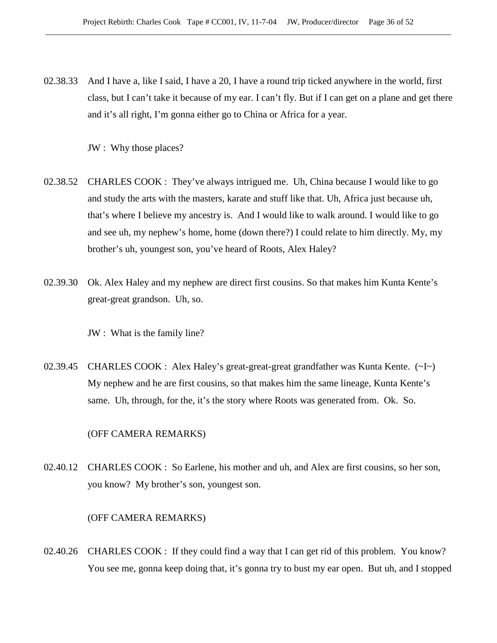02.38.33 And I have a, like I said, I have a 20, I have a round trip ticked anywhere in the world, first class, but I can't take it because of my ear. I can't fly. But if I can get on a plane and get there and it's all right, I'm gonna either go to China or Africa for a year.

JW : Why those places?

- 02.38.52 CHARLES COOK : They've always intrigued me. Uh, China because I would like to go and study the arts with the masters, karate and stuff like that. Uh, Africa just because uh, that's where I believe my ancestry is. And I would like to walk around. I would like to go and see uh, my nephew's home, home (down there?) I could relate to him directly. My, my brother's uh, youngest son, you've heard of Roots, Alex Haley?
- 02.39.30 Ok. Alex Haley and my nephew are direct first cousins. So that makes him Kunta Kente's great-great grandson. Uh, so.
	- JW : What is the family line?
- 02.39.45 CHARLES COOK : Alex Haley's great-great-great grandfather was Kunta Kente. (~I~) My nephew and he are first cousins, so that makes him the same lineage, Kunta Kente's same. Uh, through, for the, it's the story where Roots was generated from. Ok. So.

# (OFF CAMERA REMARKS)

02.40.12 CHARLES COOK : So Earlene, his mother and uh, and Alex are first cousins, so her son, you know? My brother's son, youngest son.

## (OFF CAMERA REMARKS)

02.40.26 CHARLES COOK : If they could find a way that I can get rid of this problem. You know? You see me, gonna keep doing that, it's gonna try to bust my ear open. But uh, and I stopped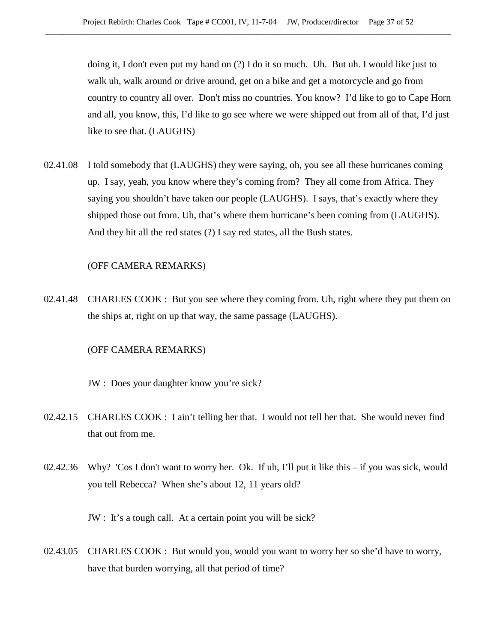doing it, I don't even put my hand on (?) I do it so much. Uh. But uh. I would like just to walk uh, walk around or drive around, get on a bike and get a motorcycle and go from country to country all over. Don't miss no countries. You know? I'd like to go to Cape Horn and all, you know, this, I'd like to go see where we were shipped out from all of that, I'd just like to see that. (LAUGHS)

02.41.08 I told somebody that (LAUGHS) they were saying, oh, you see all these hurricanes coming up. I say, yeah, you know where they's coming from? They all come from Africa. They saying you shouldn't have taken our people (LAUGHS). I says, that's exactly where they shipped those out from. Uh, that's where them hurricane's been coming from (LAUGHS). And they hit all the red states (?) I say red states, all the Bush states.

#### (OFF CAMERA REMARKS)

02.41.48 CHARLES COOK : But you see where they coming from. Uh, right where they put them on the ships at, right on up that way, the same passage (LAUGHS).

# (OFF CAMERA REMARKS)

JW : Does your daughter know you're sick?

- 02.42.15 CHARLES COOK : I ain't telling her that. I would not tell her that. She would never find that out from me.
- 02.42.36 Why? 'Cos I don't want to worry her. Ok. If uh, I'll put it like this if you was sick, would you tell Rebecca? When she's about 12, 11 years old?

JW : It's a tough call. At a certain point you will be sick?

02.43.05 CHARLES COOK : But would you, would you want to worry her so she'd have to worry, have that burden worrying, all that period of time?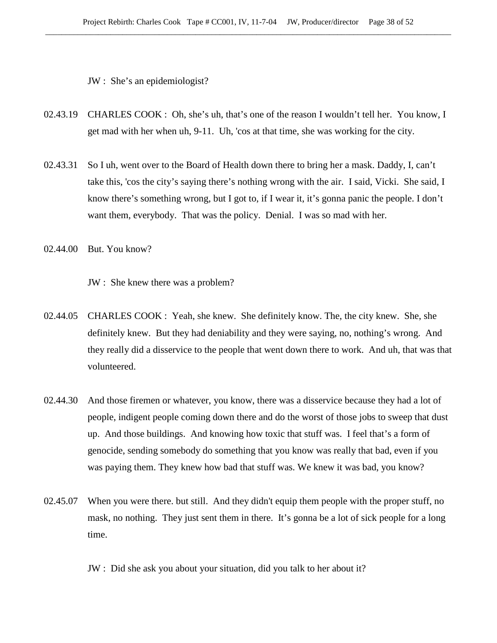JW : She's an epidemiologist?

- 02.43.19 CHARLES COOK : Oh, she's uh, that's one of the reason I wouldn't tell her. You know, I get mad with her when uh, 9-11. Uh, 'cos at that time, she was working for the city.
- 02.43.31 So I uh, went over to the Board of Health down there to bring her a mask. Daddy, I, can't take this, 'cos the city's saying there's nothing wrong with the air. I said, Vicki. She said, I know there's something wrong, but I got to, if I wear it, it's gonna panic the people. I don't want them, everybody. That was the policy. Denial. I was so mad with her.
- 02.44.00 But. You know?

JW : She knew there was a problem?

- 02.44.05 CHARLES COOK : Yeah, she knew. She definitely know. The, the city knew. She, she definitely knew. But they had deniability and they were saying, no, nothing's wrong. And they really did a disservice to the people that went down there to work. And uh, that was that volunteered.
- 02.44.30 And those firemen or whatever, you know, there was a disservice because they had a lot of people, indigent people coming down there and do the worst of those jobs to sweep that dust up. And those buildings. And knowing how toxic that stuff was. I feel that's a form of genocide, sending somebody do something that you know was really that bad, even if you was paying them. They knew how bad that stuff was. We knew it was bad, you know?
- 02.45.07 When you were there. but still. And they didn't equip them people with the proper stuff, no mask, no nothing. They just sent them in there. It's gonna be a lot of sick people for a long time.

JW : Did she ask you about your situation, did you talk to her about it?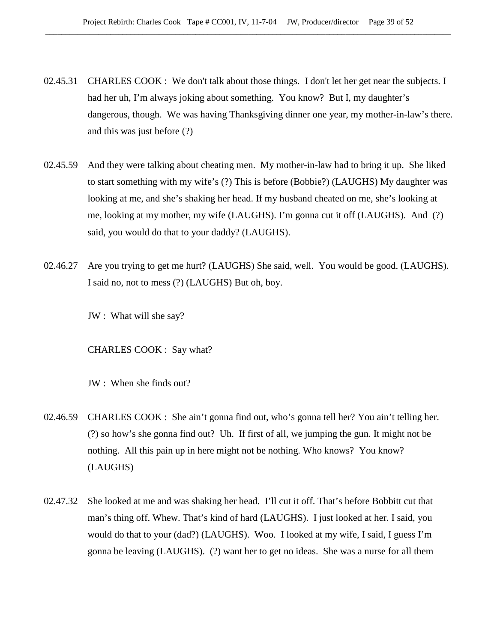- 02.45.31 CHARLES COOK : We don't talk about those things. I don't let her get near the subjects. I had her uh, I'm always joking about something. You know? But I, my daughter's dangerous, though. We was having Thanksgiving dinner one year, my mother-in-law's there. and this was just before (?)
- 02.45.59 And they were talking about cheating men. My mother-in-law had to bring it up. She liked to start something with my wife's (?) This is before (Bobbie?) (LAUGHS) My daughter was looking at me, and she's shaking her head. If my husband cheated on me, she's looking at me, looking at my mother, my wife (LAUGHS). I'm gonna cut it off (LAUGHS). And (?) said, you would do that to your daddy? (LAUGHS).
- 02.46.27 Are you trying to get me hurt? (LAUGHS) She said, well. You would be good. (LAUGHS). I said no, not to mess (?) (LAUGHS) But oh, boy.

JW : What will she say?

CHARLES COOK : Say what?

JW : When she finds out?

- 02.46.59 CHARLES COOK : She ain't gonna find out, who's gonna tell her? You ain't telling her. (?) so how's she gonna find out? Uh. If first of all, we jumping the gun. It might not be nothing. All this pain up in here might not be nothing. Who knows? You know? (LAUGHS)
- 02.47.32 She looked at me and was shaking her head. I'll cut it off. That's before Bobbitt cut that man's thing off. Whew. That's kind of hard (LAUGHS). I just looked at her. I said, you would do that to your (dad?) (LAUGHS). Woo. I looked at my wife, I said, I guess I'm gonna be leaving (LAUGHS). (?) want her to get no ideas. She was a nurse for all them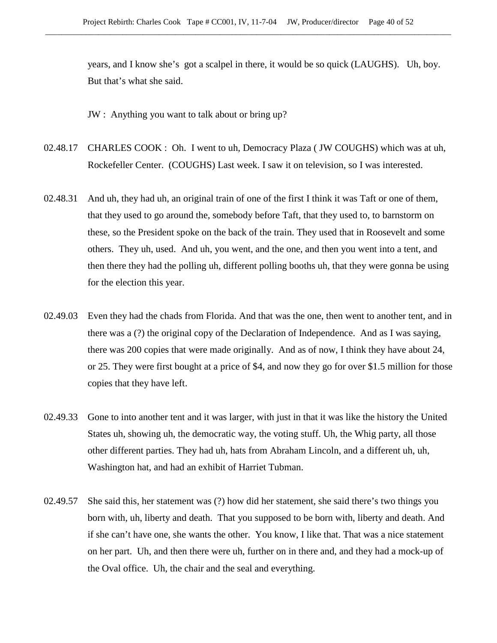years, and I know she's got a scalpel in there, it would be so quick (LAUGHS). Uh, boy. But that's what she said.

JW : Anything you want to talk about or bring up?

- 02.48.17 CHARLES COOK : Oh. I went to uh, Democracy Plaza ( JW COUGHS) which was at uh, Rockefeller Center. (COUGHS) Last week. I saw it on television, so I was interested.
- 02.48.31 And uh, they had uh, an original train of one of the first I think it was Taft or one of them, that they used to go around the, somebody before Taft, that they used to, to barnstorm on these, so the President spoke on the back of the train. They used that in Roosevelt and some others. They uh, used. And uh, you went, and the one, and then you went into a tent, and then there they had the polling uh, different polling booths uh, that they were gonna be using for the election this year.
- 02.49.03 Even they had the chads from Florida. And that was the one, then went to another tent, and in there was a (?) the original copy of the Declaration of Independence. And as I was saying, there was 200 copies that were made originally. And as of now, I think they have about 24, or 25. They were first bought at a price of \$4, and now they go for over \$1.5 million for those copies that they have left.
- 02.49.33 Gone to into another tent and it was larger, with just in that it was like the history the United States uh, showing uh, the democratic way, the voting stuff. Uh, the Whig party, all those other different parties. They had uh, hats from Abraham Lincoln, and a different uh, uh, Washington hat, and had an exhibit of Harriet Tubman.
- 02.49.57 She said this, her statement was (?) how did her statement, she said there's two things you born with, uh, liberty and death. That you supposed to be born with, liberty and death. And if she can't have one, she wants the other. You know, I like that. That was a nice statement on her part. Uh, and then there were uh, further on in there and, and they had a mock-up of the Oval office. Uh, the chair and the seal and everything.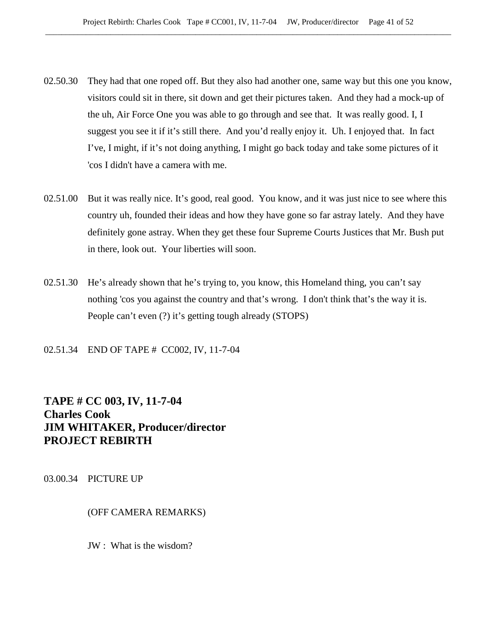- 02.50.30 They had that one roped off. But they also had another one, same way but this one you know, visitors could sit in there, sit down and get their pictures taken. And they had a mock-up of the uh, Air Force One you was able to go through and see that. It was really good. I, I suggest you see it if it's still there. And you'd really enjoy it. Uh. I enjoyed that. In fact I've, I might, if it's not doing anything, I might go back today and take some pictures of it 'cos I didn't have a camera with me.
- 02.51.00 But it was really nice. It's good, real good. You know, and it was just nice to see where this country uh, founded their ideas and how they have gone so far astray lately. And they have definitely gone astray. When they get these four Supreme Courts Justices that Mr. Bush put in there, look out. Your liberties will soon.
- 02.51.30 He's already shown that he's trying to, you know, this Homeland thing, you can't say nothing 'cos you against the country and that's wrong. I don't think that's the way it is. People can't even (?) it's getting tough already (STOPS)

02.51.34 END OF TAPE # CC002, IV, 11-7-04

# **TAPE # CC 003, IV, 11-7-04 Charles Cook JIM WHITAKER, Producer/director PROJECT REBIRTH**

03.00.34 PICTURE UP

(OFF CAMERA REMARKS)

JW : What is the wisdom?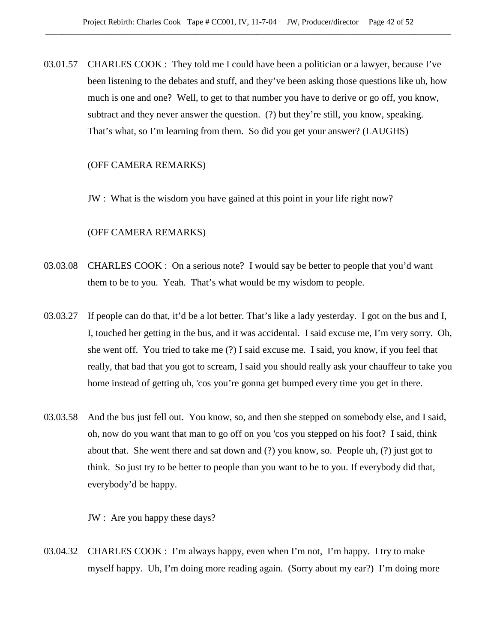03.01.57 CHARLES COOK : They told me I could have been a politician or a lawyer, because I've been listening to the debates and stuff, and they've been asking those questions like uh, how much is one and one? Well, to get to that number you have to derive or go off, you know, subtract and they never answer the question. (?) but they're still, you know, speaking. That's what, so I'm learning from them. So did you get your answer? (LAUGHS)

## (OFF CAMERA REMARKS)

JW : What is the wisdom you have gained at this point in your life right now?

# (OFF CAMERA REMARKS)

- 03.03.08 CHARLES COOK : On a serious note? I would say be better to people that you'd want them to be to you. Yeah. That's what would be my wisdom to people.
- 03.03.27 If people can do that, it'd be a lot better. That's like a lady yesterday. I got on the bus and I, I, touched her getting in the bus, and it was accidental. I said excuse me, I'm very sorry. Oh, she went off. You tried to take me (?) I said excuse me. I said, you know, if you feel that really, that bad that you got to scream, I said you should really ask your chauffeur to take you home instead of getting uh, 'cos you're gonna get bumped every time you get in there.
- 03.03.58 And the bus just fell out. You know, so, and then she stepped on somebody else, and I said, oh, now do you want that man to go off on you 'cos you stepped on his foot? I said, think about that. She went there and sat down and (?) you know, so. People uh, (?) just got to think. So just try to be better to people than you want to be to you. If everybody did that, everybody'd be happy.

JW : Are you happy these days?

03.04.32 CHARLES COOK : I'm always happy, even when I'm not, I'm happy. I try to make myself happy. Uh, I'm doing more reading again. (Sorry about my ear?) I'm doing more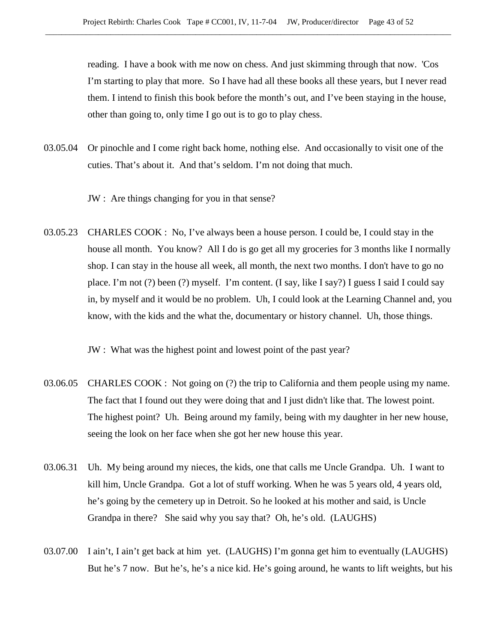reading. I have a book with me now on chess. And just skimming through that now. 'Cos I'm starting to play that more. So I have had all these books all these years, but I never read them. I intend to finish this book before the month's out, and I've been staying in the house, other than going to, only time I go out is to go to play chess.

03.05.04 Or pinochle and I come right back home, nothing else. And occasionally to visit one of the cuties. That's about it. And that's seldom. I'm not doing that much.

JW : Are things changing for you in that sense?

03.05.23 CHARLES COOK : No, I've always been a house person. I could be, I could stay in the house all month. You know? All I do is go get all my groceries for 3 months like I normally shop. I can stay in the house all week, all month, the next two months. I don't have to go no place. I'm not (?) been (?) myself. I'm content. (I say, like I say?) I guess I said I could say in, by myself and it would be no problem. Uh, I could look at the Learning Channel and, you know, with the kids and the what the, documentary or history channel. Uh, those things.

JW : What was the highest point and lowest point of the past year?

- 03.06.05 CHARLES COOK : Not going on (?) the trip to California and them people using my name. The fact that I found out they were doing that and I just didn't like that. The lowest point. The highest point? Uh. Being around my family, being with my daughter in her new house, seeing the look on her face when she got her new house this year.
- 03.06.31 Uh. My being around my nieces, the kids, one that calls me Uncle Grandpa. Uh. I want to kill him, Uncle Grandpa. Got a lot of stuff working. When he was 5 years old, 4 years old, he's going by the cemetery up in Detroit. So he looked at his mother and said, is Uncle Grandpa in there? She said why you say that? Oh, he's old. (LAUGHS)
- 03.07.00 I ain't, I ain't get back at him yet. (LAUGHS) I'm gonna get him to eventually (LAUGHS) But he's 7 now. But he's, he's a nice kid. He's going around, he wants to lift weights, but his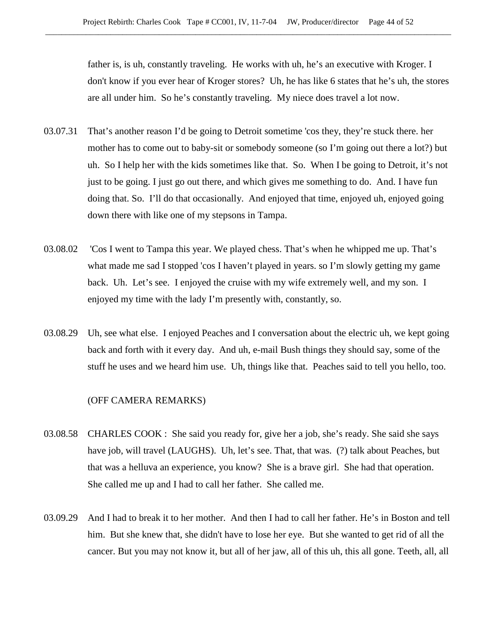father is, is uh, constantly traveling. He works with uh, he's an executive with Kroger. I don't know if you ever hear of Kroger stores? Uh, he has like 6 states that he's uh, the stores are all under him. So he's constantly traveling. My niece does travel a lot now.

- 03.07.31 That's another reason I'd be going to Detroit sometime 'cos they, they're stuck there. her mother has to come out to baby-sit or somebody someone (so I'm going out there a lot?) but uh. So I help her with the kids sometimes like that. So. When I be going to Detroit, it's not just to be going. I just go out there, and which gives me something to do. And. I have fun doing that. So. I'll do that occasionally. And enjoyed that time, enjoyed uh, enjoyed going down there with like one of my stepsons in Tampa.
- 03.08.02 'Cos I went to Tampa this year. We played chess. That's when he whipped me up. That's what made me sad I stopped 'cos I haven't played in years. so I'm slowly getting my game back. Uh. Let's see. I enjoyed the cruise with my wife extremely well, and my son. I enjoyed my time with the lady I'm presently with, constantly, so.
- 03.08.29 Uh, see what else. I enjoyed Peaches and I conversation about the electric uh, we kept going back and forth with it every day. And uh, e-mail Bush things they should say, some of the stuff he uses and we heard him use. Uh, things like that. Peaches said to tell you hello, too.

#### (OFF CAMERA REMARKS)

- 03.08.58 CHARLES COOK : She said you ready for, give her a job, she's ready. She said she says have job, will travel (LAUGHS). Uh, let's see. That, that was. (?) talk about Peaches, but that was a helluva an experience, you know? She is a brave girl. She had that operation. She called me up and I had to call her father. She called me.
- 03.09.29 And I had to break it to her mother. And then I had to call her father. He's in Boston and tell him. But she knew that, she didn't have to lose her eye. But she wanted to get rid of all the cancer. But you may not know it, but all of her jaw, all of this uh, this all gone. Teeth, all, all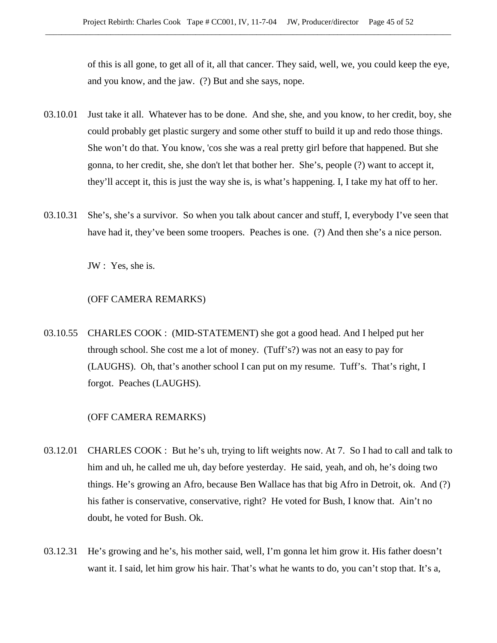of this is all gone, to get all of it, all that cancer. They said, well, we, you could keep the eye, and you know, and the jaw. (?) But and she says, nope.

- 03.10.01 Just take it all. Whatever has to be done. And she, she, and you know, to her credit, boy, she could probably get plastic surgery and some other stuff to build it up and redo those things. She won't do that. You know, 'cos she was a real pretty girl before that happened. But she gonna, to her credit, she, she don't let that bother her. She's, people (?) want to accept it, they'll accept it, this is just the way she is, is what's happening. I, I take my hat off to her.
- 03.10.31 She's, she's a survivor. So when you talk about cancer and stuff, I, everybody I've seen that have had it, they've been some troopers. Peaches is one. (?) And then she's a nice person.

JW : Yes, she is.

# (OFF CAMERA REMARKS)

03.10.55 CHARLES COOK : (MID-STATEMENT) she got a good head. And I helped put her through school. She cost me a lot of money. (Tuff's?) was not an easy to pay for (LAUGHS). Oh, that's another school I can put on my resume. Tuff's. That's right, I forgot. Peaches (LAUGHS).

# (OFF CAMERA REMARKS)

- 03.12.01 CHARLES COOK : But he's uh, trying to lift weights now. At 7. So I had to call and talk to him and uh, he called me uh, day before yesterday. He said, yeah, and oh, he's doing two things. He's growing an Afro, because Ben Wallace has that big Afro in Detroit, ok. And (?) his father is conservative, conservative, right? He voted for Bush, I know that. Ain't no doubt, he voted for Bush. Ok.
- 03.12.31 He's growing and he's, his mother said, well, I'm gonna let him grow it. His father doesn't want it. I said, let him grow his hair. That's what he wants to do, you can't stop that. It's a,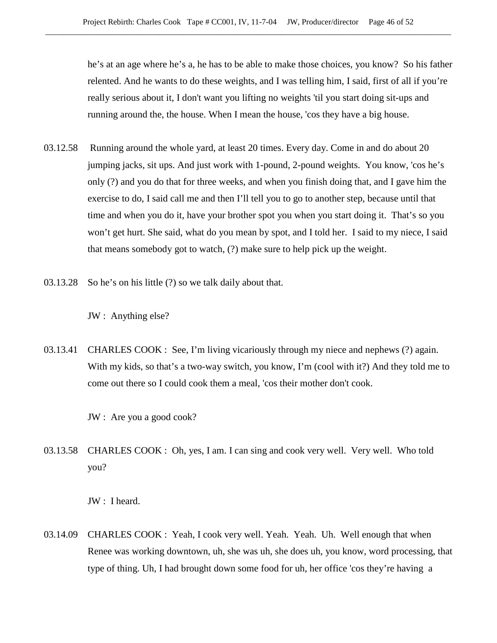he's at an age where he's a, he has to be able to make those choices, you know? So his father relented. And he wants to do these weights, and I was telling him, I said, first of all if you're really serious about it, I don't want you lifting no weights 'til you start doing sit-ups and running around the, the house. When I mean the house, 'cos they have a big house.

- 03.12.58 Running around the whole yard, at least 20 times. Every day. Come in and do about 20 jumping jacks, sit ups. And just work with 1-pound, 2-pound weights. You know, 'cos he's only (?) and you do that for three weeks, and when you finish doing that, and I gave him the exercise to do, I said call me and then I'll tell you to go to another step, because until that time and when you do it, have your brother spot you when you start doing it. That's so you won't get hurt. She said, what do you mean by spot, and I told her. I said to my niece, I said that means somebody got to watch, (?) make sure to help pick up the weight.
- 03.13.28 So he's on his little (?) so we talk daily about that.

JW : Anything else?

03.13.41 CHARLES COOK : See, I'm living vicariously through my niece and nephews (?) again. With my kids, so that's a two-way switch, you know, I'm (cool with it?) And they told me to come out there so I could cook them a meal, 'cos their mother don't cook.

JW : Are you a good cook?

03.13.58 CHARLES COOK : Oh, yes, I am. I can sing and cook very well. Very well. Who told you?

JW : I heard.

03.14.09 CHARLES COOK : Yeah, I cook very well. Yeah. Yeah. Uh. Well enough that when Renee was working downtown, uh, she was uh, she does uh, you know, word processing, that type of thing. Uh, I had brought down some food for uh, her office 'cos they're having a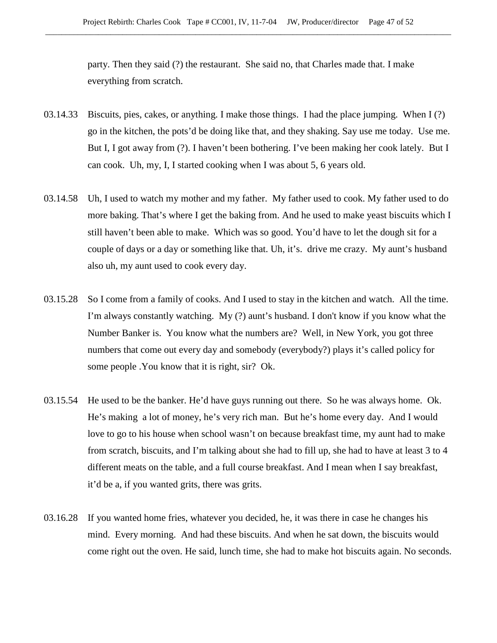party. Then they said (?) the restaurant. She said no, that Charles made that. I make everything from scratch.

- 03.14.33 Biscuits, pies, cakes, or anything. I make those things. I had the place jumping. When I (?) go in the kitchen, the pots'd be doing like that, and they shaking. Say use me today. Use me. But I, I got away from (?). I haven't been bothering. I've been making her cook lately. But I can cook. Uh, my, I, I started cooking when I was about 5, 6 years old.
- 03.14.58 Uh, I used to watch my mother and my father. My father used to cook. My father used to do more baking. That's where I get the baking from. And he used to make yeast biscuits which I still haven't been able to make. Which was so good. You'd have to let the dough sit for a couple of days or a day or something like that. Uh, it's. drive me crazy. My aunt's husband also uh, my aunt used to cook every day.
- 03.15.28 So I come from a family of cooks. And I used to stay in the kitchen and watch. All the time. I'm always constantly watching. My (?) aunt's husband. I don't know if you know what the Number Banker is. You know what the numbers are? Well, in New York, you got three numbers that come out every day and somebody (everybody?) plays it's called policy for some people .You know that it is right, sir? Ok.
- 03.15.54 He used to be the banker. He'd have guys running out there. So he was always home. Ok. He's making a lot of money, he's very rich man. But he's home every day. And I would love to go to his house when school wasn't on because breakfast time, my aunt had to make from scratch, biscuits, and I'm talking about she had to fill up, she had to have at least 3 to 4 different meats on the table, and a full course breakfast. And I mean when I say breakfast, it'd be a, if you wanted grits, there was grits.
- 03.16.28 If you wanted home fries, whatever you decided, he, it was there in case he changes his mind. Every morning. And had these biscuits. And when he sat down, the biscuits would come right out the oven. He said, lunch time, she had to make hot biscuits again. No seconds.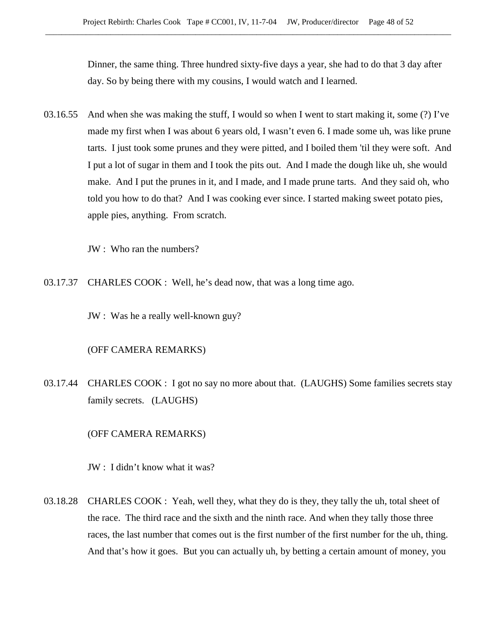Dinner, the same thing. Three hundred sixty-five days a year, she had to do that 3 day after day. So by being there with my cousins, I would watch and I learned.

03.16.55 And when she was making the stuff, I would so when I went to start making it, some (?) I've made my first when I was about 6 years old, I wasn't even 6. I made some uh, was like prune tarts. I just took some prunes and they were pitted, and I boiled them 'til they were soft. And I put a lot of sugar in them and I took the pits out. And I made the dough like uh, she would make. And I put the prunes in it, and I made, and I made prune tarts. And they said oh, who told you how to do that? And I was cooking ever since. I started making sweet potato pies, apple pies, anything. From scratch.

JW : Who ran the numbers?

03.17.37 CHARLES COOK : Well, he's dead now, that was a long time ago.

JW : Was he a really well-known guy?

# (OFF CAMERA REMARKS)

03.17.44 CHARLES COOK : I got no say no more about that. (LAUGHS) Some families secrets stay family secrets. (LAUGHS)

# (OFF CAMERA REMARKS)

JW : I didn't know what it was?

03.18.28 CHARLES COOK : Yeah, well they, what they do is they, they tally the uh, total sheet of the race. The third race and the sixth and the ninth race. And when they tally those three races, the last number that comes out is the first number of the first number for the uh, thing. And that's how it goes. But you can actually uh, by betting a certain amount of money, you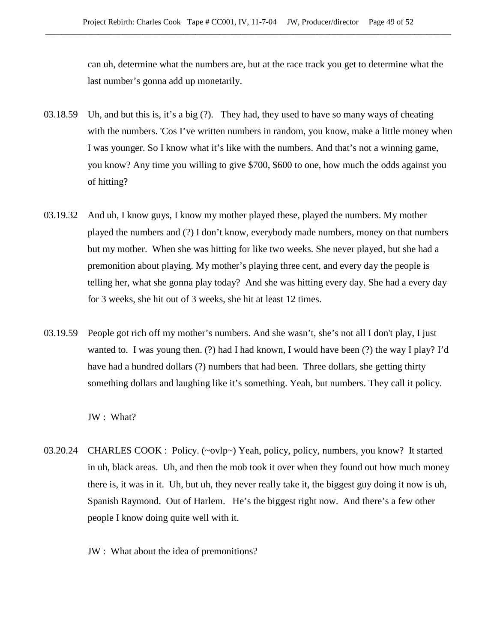can uh, determine what the numbers are, but at the race track you get to determine what the last number's gonna add up monetarily.

- 03.18.59 Uh, and but this is, it's a big (?). They had, they used to have so many ways of cheating with the numbers. 'Cos I've written numbers in random, you know, make a little money when I was younger. So I know what it's like with the numbers. And that's not a winning game, you know? Any time you willing to give \$700, \$600 to one, how much the odds against you of hitting?
- 03.19.32 And uh, I know guys, I know my mother played these, played the numbers. My mother played the numbers and (?) I don't know, everybody made numbers, money on that numbers but my mother. When she was hitting for like two weeks. She never played, but she had a premonition about playing. My mother's playing three cent, and every day the people is telling her, what she gonna play today? And she was hitting every day. She had a every day for 3 weeks, she hit out of 3 weeks, she hit at least 12 times.
- 03.19.59 People got rich off my mother's numbers. And she wasn't, she's not all I don't play, I just wanted to. I was young then. (?) had I had known, I would have been (?) the way I play? I'd have had a hundred dollars (?) numbers that had been. Three dollars, she getting thirty something dollars and laughing like it's something. Yeah, but numbers. They call it policy.

JW : What?

- 03.20.24 CHARLES COOK : Policy. (~ovlp~) Yeah, policy, policy, numbers, you know? It started in uh, black areas. Uh, and then the mob took it over when they found out how much money there is, it was in it. Uh, but uh, they never really take it, the biggest guy doing it now is uh, Spanish Raymond. Out of Harlem. He's the biggest right now. And there's a few other people I know doing quite well with it.
	- JW : What about the idea of premonitions?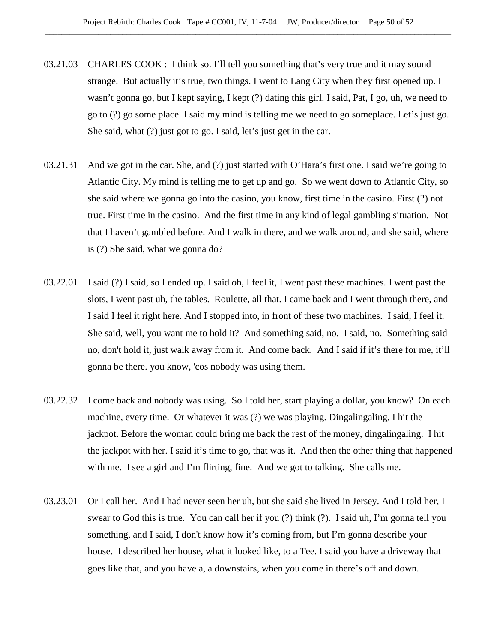- 03.21.03 CHARLES COOK : I think so. I'll tell you something that's very true and it may sound strange. But actually it's true, two things. I went to Lang City when they first opened up. I wasn't gonna go, but I kept saying, I kept (?) dating this girl. I said, Pat, I go, uh, we need to go to (?) go some place. I said my mind is telling me we need to go someplace. Let's just go. She said, what (?) just got to go. I said, let's just get in the car.
- 03.21.31 And we got in the car. She, and (?) just started with O'Hara's first one. I said we're going to Atlantic City. My mind is telling me to get up and go. So we went down to Atlantic City, so she said where we gonna go into the casino, you know, first time in the casino. First (?) not true. First time in the casino. And the first time in any kind of legal gambling situation. Not that I haven't gambled before. And I walk in there, and we walk around, and she said, where is (?) She said, what we gonna do?
- 03.22.01 I said (?) I said, so I ended up. I said oh, I feel it, I went past these machines. I went past the slots, I went past uh, the tables. Roulette, all that. I came back and I went through there, and I said I feel it right here. And I stopped into, in front of these two machines. I said, I feel it. She said, well, you want me to hold it? And something said, no. I said, no. Something said no, don't hold it, just walk away from it. And come back. And I said if it's there for me, it'll gonna be there. you know, 'cos nobody was using them.
- 03.22.32 I come back and nobody was using. So I told her, start playing a dollar, you know? On each machine, every time. Or whatever it was (?) we was playing. Dingalingaling, I hit the jackpot. Before the woman could bring me back the rest of the money, dingalingaling. I hit the jackpot with her. I said it's time to go, that was it. And then the other thing that happened with me. I see a girl and I'm flirting, fine. And we got to talking. She calls me.
- 03.23.01 Or I call her. And I had never seen her uh, but she said she lived in Jersey. And I told her, I swear to God this is true. You can call her if you (?) think (?). I said uh, I'm gonna tell you something, and I said, I don't know how it's coming from, but I'm gonna describe your house. I described her house, what it looked like, to a Tee. I said you have a driveway that goes like that, and you have a, a downstairs, when you come in there's off and down.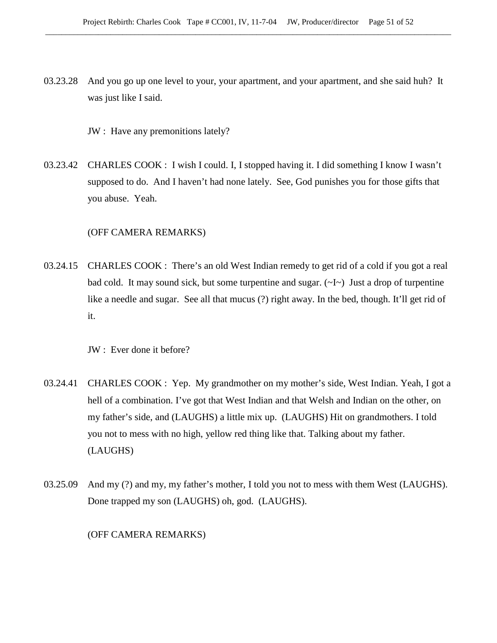03.23.28 And you go up one level to your, your apartment, and your apartment, and she said huh? It was just like I said.

JW : Have any premonitions lately?

03.23.42 CHARLES COOK : I wish I could. I, I stopped having it. I did something I know I wasn't supposed to do. And I haven't had none lately. See, God punishes you for those gifts that you abuse. Yeah.

# (OFF CAMERA REMARKS)

03.24.15 CHARLES COOK : There's an old West Indian remedy to get rid of a cold if you got a real bad cold. It may sound sick, but some turpentine and sugar.  $(\sim I \sim)$  Just a drop of turpentine like a needle and sugar. See all that mucus (?) right away. In the bed, though. It'll get rid of it.

JW : Ever done it before?

- 03.24.41 CHARLES COOK : Yep. My grandmother on my mother's side, West Indian. Yeah, I got a hell of a combination. I've got that West Indian and that Welsh and Indian on the other, on my father's side, and (LAUGHS) a little mix up. (LAUGHS) Hit on grandmothers. I told you not to mess with no high, yellow red thing like that. Talking about my father. (LAUGHS)
- 03.25.09 And my (?) and my, my father's mother, I told you not to mess with them West (LAUGHS). Done trapped my son (LAUGHS) oh, god. (LAUGHS).

(OFF CAMERA REMARKS)